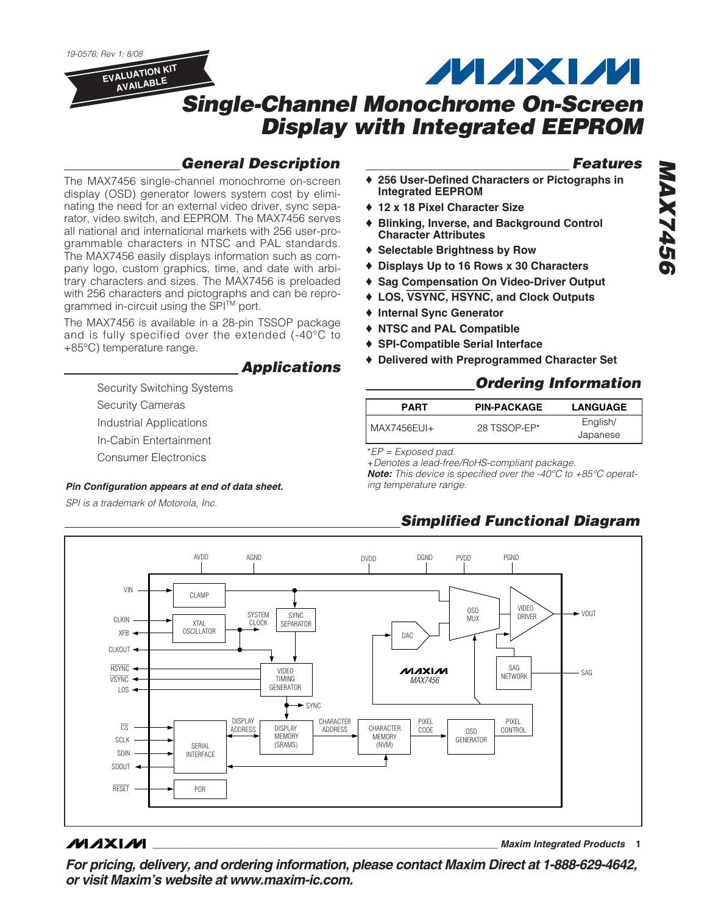19-0576; Rev 1; 8/08

**EVALUATION KIT AVAILABLE**

# **Single-Channel Monochrome On-Screen Display with Integrated EEPROM**

### **General Description**

The MAX7456 single-channel monochrome on-screen display (OSD) generator lowers system cost by eliminating the need for an external video driver, sync separator, video switch, and EEPROM. The MAX7456 serves all national and international markets with 256 user-programmable characters in NTSC and PAL standards. The MAX7456 easily displays information such as company logo, custom graphics, time, and date with arbitrary characters and sizes. The MAX7456 is preloaded with 256 characters and pictographs and can be reprogrammed in-circuit using the SPI $\text{TM}$  port.

The MAX7456 is available in a 28-pin TSSOP package and is fully specified over the extended (-40°C to +85°C) temperature range.

### **Applications**

Security Switching Systems Security Cameras

Industrial Applications

In-Cabin Entertainment

Consumer Electronics

#### **Pin Configuration appears at end of data sheet. ing temperature range.**

SPI is a trademark of Motorola, Inc.

# **Features**

♦ **256 User-Defined Characters or Pictographs in Integrated EEPROM**

**MAXM** 

- ♦ **12 x 18 Pixel Character Size**
- **Blinking, Inverse, and Background Control Character Attributes**
- ♦ **Selectable Brightness by Row**
- ♦ **Displays Up to 16 Rows x 30 Characters**
- ♦ **Sag Compensation On Video-Driver Output**
- ♦ **LOS,** VSYNC**,** HSYNC**, and Clock Outputs**
- ♦ **Internal Sync Generator**
- ♦ **NTSC and PAL Compatible**
- ♦ **SPI-Compatible Serial Interface**
- ♦ **Delivered with Preprogrammed Character Set**

### **Ordering Information**

| <b>PART</b> | <b>PIN-PACKAGE</b> | <b>LANGUAGE</b>      |
|-------------|--------------------|----------------------|
| MAX7456EUI+ | 28 TSSOP-EP*       | English/<br>Japanese |

\*EP = Exposed pad.

+Denotes a lead-free/RoHS-compliant package. **Note:** This device is specified over the -40°C to +85°C operat-

### **Simplified Functional Diagram**



**MAXM** 

**\_\_\_\_\_\_\_\_\_\_\_\_\_\_\_\_\_\_\_\_\_\_\_\_\_\_\_\_\_\_\_\_\_\_\_\_\_\_\_\_\_\_\_\_\_\_\_\_\_\_\_\_\_\_\_\_\_\_\_\_\_\_\_\_ Maxim Integrated Products 1**

**For pricing, delivery, and ordering information, please contact Maxim Direct at 1-888-629-4642, or visit Maxim's website at www.maxim-ic.com.**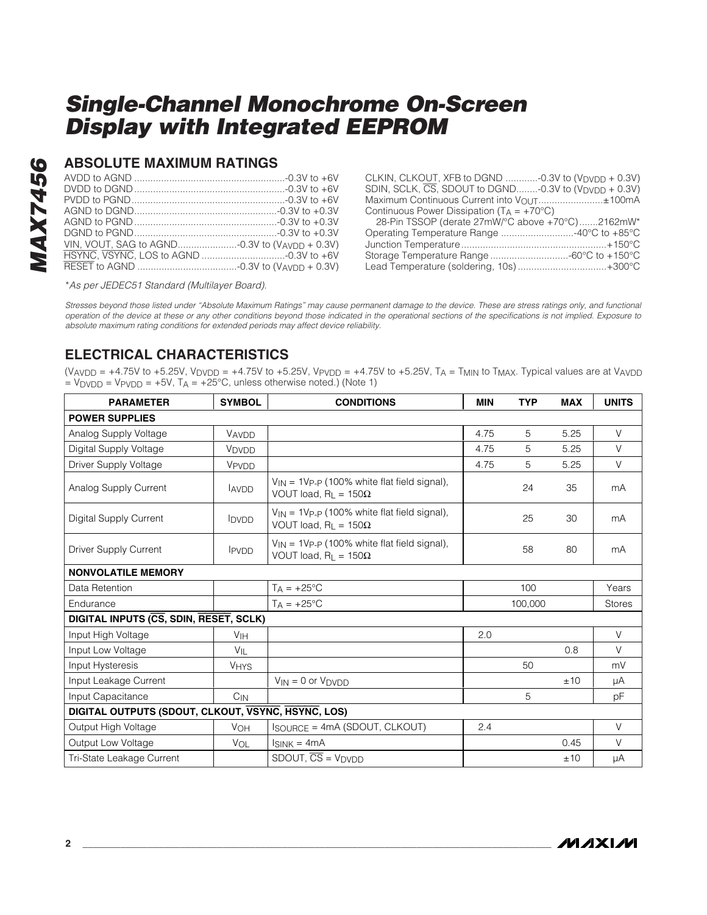### **ABSOLUTE MAXIMUM RATINGS**

CLKIN, CLKOUT, XFB to DGND ............-0.3V to (V<sub>DVDD</sub> + 0.3V) SDIN, SCLK,  $\overline{\text{CS}}$ , SDOUT to DGND........-0.3V to  $(V_{\text{DVDD}} + 0.3V)$ Maximum Continuous Current into V<sub>OUT</sub>........................±100mA Continuous Power Dissipation  $(T_A = +70^{\circ}C)$ 

| 28-Pin TSSOP (derate 27mW/°C above +70°C)2162mW* |  |
|--------------------------------------------------|--|
| Operating Temperature Range 40°C to +85°C        |  |
|                                                  |  |
| Storage Temperature Range 60°C to +150°C         |  |
| Lead Temperature (soldering, 10s)+300°C          |  |
|                                                  |  |

\*As per JEDEC51 Standard (Multilayer Board).

Stresses beyond those listed under "Absolute Maximum Ratings" may cause permanent damage to the device. These are stress ratings only, and functional operation of the device at these or any other conditions beyond those indicated in the operational sections of the specifications is not implied. Exposure to absolute maximum rating conditions for extended periods may affect device reliability.

### **ELECTRICAL CHARACTERISTICS**

(V<sub>AVDD</sub> = +4.75V to +5.25V, V<sub>DVDD</sub> = +4.75V to +5.25V, V<sub>PVDD</sub> = +4.75V to +5.25V, T<sub>A</sub> = T<sub>MIN</sub> to T<sub>MAX</sub>. Typical values are at V<sub>AVDD</sub>  $=$  V<sub>DVDD</sub> = V<sub>PVDD</sub> = +5V, T<sub>A</sub> = +25°C, unless otherwise noted.) (Note 1)

| <b>PARAMETER</b>                                   | <b>SYMBOL</b>     | <b>CONDITIONS</b>                                                                            | <b>MIN</b> | <b>TYP</b> | <b>MAX</b> | <b>UNITS</b>  |
|----------------------------------------------------|-------------------|----------------------------------------------------------------------------------------------|------------|------------|------------|---------------|
| <b>POWER SUPPLIES</b>                              |                   |                                                                                              |            |            |            |               |
| Analog Supply Voltage                              | VAVDD             |                                                                                              | 4.75       | 5          | 5.25       | $\vee$        |
| Digital Supply Voltage                             | V <sub>DVDD</sub> |                                                                                              | 4.75       | 5          | 5.25       | $\vee$        |
| Driver Supply Voltage                              | VPVDD             |                                                                                              | 4.75       | 5          | 5.25       | V             |
| Analog Supply Current                              | <b>AVDD</b>       | $V_{IN}$ = 1V <sub>P-P</sub> (100% white flat field signal),<br>VOUT load, $R_1 = 150\Omega$ |            | 24         | 35         | mA            |
| Digital Supply Current                             | <b>IDVDD</b>      | $V_{IN}$ = 1Vp-p (100% white flat field signal),<br>VOUT load, $R_1 = 150\Omega$             |            | 25         | 30         | mA            |
| Driver Supply Current                              | <b>IPVDD</b>      | $V_{IN}$ = 1Vp-p (100% white flat field signal),<br>VOUT load, $R_L = 150\Omega$             |            | 58         | 80         | mA            |
| <b>NONVOLATILE MEMORY</b>                          |                   |                                                                                              |            |            |            |               |
| Data Retention                                     |                   | $T_A = +25$ °C                                                                               |            | 100        |            | Years         |
| Endurance                                          |                   | $TA = +25^{\circ}C$                                                                          |            | 100,000    |            | <b>Stores</b> |
| DIGITAL INPUTS (CS, SDIN, RESET, SCLK)             |                   |                                                                                              |            |            |            |               |
| Input High Voltage                                 | V <sub>IH</sub>   |                                                                                              | 2.0        |            |            | $\vee$        |
| Input Low Voltage                                  | $V_{\parallel}$   |                                                                                              |            |            | 0.8        | V             |
| Input Hysteresis                                   | <b>VHYS</b>       |                                                                                              |            | 50         |            | mV            |
| Input Leakage Current                              |                   | $V_{IN} = 0$ or $V_{DVDD}$                                                                   |            |            | ±10        | μA            |
| Input Capacitance                                  | $C_{IN}$          |                                                                                              |            | 5          |            | рF            |
| DIGITAL OUTPUTS (SDOUT, CLKOUT, VSYNC, HSYNC, LOS) |                   |                                                                                              |            |            |            |               |
| Output High Voltage                                | VOH               | $I_{\text{SOURCE}} = 4 \text{mA}$ (SDOUT, CLKOUT)                                            | 2.4        |            |            | $\vee$        |
| Output Low Voltage                                 | VOL               | $I_{SINK} = 4mA$                                                                             |            |            | 0.45       | $\vee$        |
| Tri-State Leakage Current                          |                   | $SDOUT, \overline{CS} = VDYDD$                                                               |            |            | ±10        | μA            |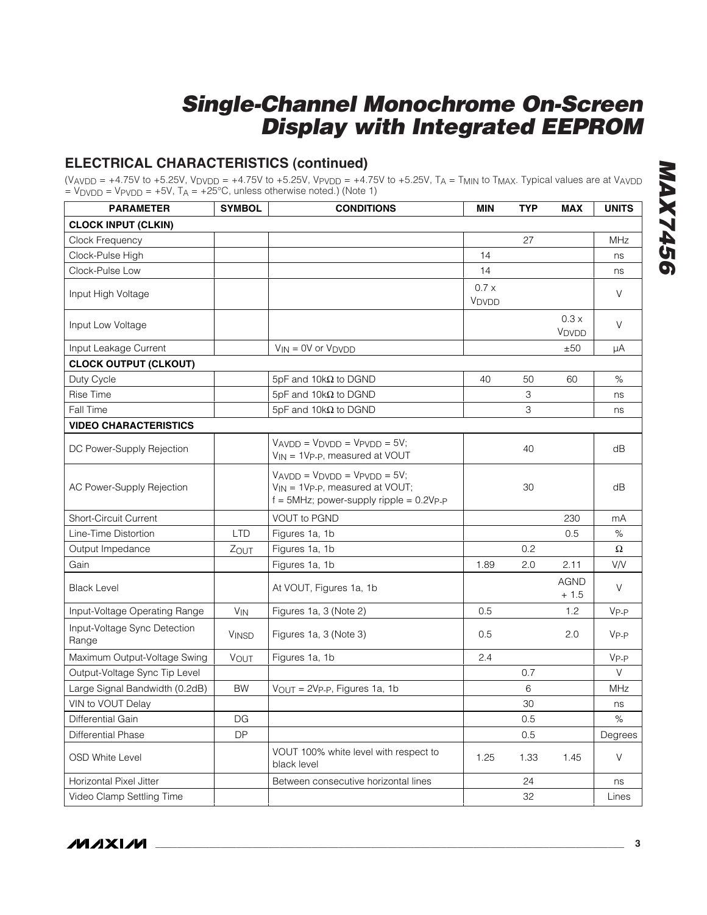### **ELECTRICAL CHARACTERISTICS (continued)**

(V<sub>AVDD</sub> = +4.75V to +5.25V, V<sub>DVDD</sub> = +4.75V to +5.25V, V<sub>PVDD</sub> = +4.75V to +5.25V, T<sub>A</sub> = T<sub>MIN</sub> to T<sub>MAX</sub>. Typical values are at V<sub>AVDD</sub>  $=$  V<sub>DVDD</sub> = V<sub>PVDD</sub> =  $+5V$ , T<sub>A</sub> =  $+25^{\circ}$ C, unless otherwise noted.) (Note 1)

| <b>PARAMETER</b>                      | <b>SYMBOL</b>          | <b>CONDITIONS</b>                                                                                                  | <b>MIN</b>    | <b>TYP</b> | <b>MAX</b>                | <b>UNITS</b>     |
|---------------------------------------|------------------------|--------------------------------------------------------------------------------------------------------------------|---------------|------------|---------------------------|------------------|
| <b>CLOCK INPUT (CLKIN)</b>            |                        |                                                                                                                    |               |            |                           |                  |
| Clock Frequency                       |                        |                                                                                                                    |               | 27         |                           | <b>MHz</b>       |
| Clock-Pulse High                      |                        |                                                                                                                    | 14            |            |                           | ns               |
| Clock-Pulse Low                       |                        |                                                                                                                    | 14            |            |                           | ns               |
| Input High Voltage                    |                        |                                                                                                                    | 0.7x<br>VDVDD |            |                           | V                |
| Input Low Voltage                     |                        |                                                                                                                    |               |            | 0.3x<br>V <sub>DVDD</sub> | V                |
| Input Leakage Current                 |                        | $V_{IN} = 0V$ or $V_{DVDD}$                                                                                        |               |            | ±50                       | μA               |
| <b>CLOCK OUTPUT (CLKOUT)</b>          |                        |                                                                                                                    |               |            |                           |                  |
| Duty Cycle                            |                        | 5pF and 10k $\Omega$ to DGND                                                                                       | 40            | 50         | 60                        | $\%$             |
| <b>Rise Time</b>                      |                        | 5pF and 10k $\Omega$ to DGND                                                                                       |               | 3          |                           | ns               |
| Fall Time                             |                        | 5pF and 10k $\Omega$ to DGND                                                                                       |               | 3          |                           | ns               |
| <b>VIDEO CHARACTERISTICS</b>          |                        |                                                                                                                    |               |            |                           |                  |
| DC Power-Supply Rejection             |                        | $VAVDD = VDVDD = VPVDD = 5V$ ;<br>$V_{IN}$ = 1V <sub>P-P</sub> , measured at VOUT                                  |               | 40         |                           | dB               |
| AC Power-Supply Rejection             |                        | $VAVDD = VDVDD = VPVDD = 5V;$<br>$V_{IN}$ = 1Vp-p, measured at VOUT;<br>$f = 5$ MHz; power-supply ripple = 0.2Vp-p |               | 30         |                           | dB               |
| <b>Short-Circuit Current</b>          |                        | <b>VOUT to PGND</b>                                                                                                |               |            | 230                       | mA               |
| Line-Time Distortion                  | <b>LTD</b>             | Figures 1a, 1b                                                                                                     |               |            | 0.5                       | $\%$             |
| Output Impedance                      | ZOUT                   | Figures 1a, 1b                                                                                                     |               | 0.2        |                           | $\Omega$         |
| Gain                                  |                        | Figures 1a, 1b                                                                                                     | 1.89          | 2.0        | 2.11                      | V/V              |
| <b>Black Level</b>                    |                        | At VOUT, Figures 1a, 1b                                                                                            |               |            | <b>AGND</b><br>$+1.5$     | V                |
| Input-Voltage Operating Range         | $V_{IN}$               | Figures 1a, 3 (Note 2)                                                                                             | 0.5           |            | 1.2                       | V <sub>P-P</sub> |
| Input-Voltage Sync Detection<br>Range | <b>VINSD</b>           | Figures 1a, 3 (Note 3)                                                                                             | 0.5           |            | 2.0                       | $V_{P-P}$        |
| Maximum Output-Voltage Swing          | VOUT                   | Figures 1a, 1b                                                                                                     | 2.4           |            |                           | V <sub>P-P</sub> |
| Output-Voltage Sync Tip Level         |                        |                                                                                                                    |               | 0.7        |                           | V                |
| Large Signal Bandwidth (0.2dB)        | <b>BW</b>              | $V_{OUT} = 2V_{P-P}$ , Figures 1a, 1b                                                                              |               | 6          |                           | MHz              |
| VIN to VOUT Delay                     |                        |                                                                                                                    |               | 30         |                           | ns               |
| Differential Gain                     | $\mathsf{D}\mathsf{G}$ |                                                                                                                    |               | 0.5        |                           | $\%$             |
| <b>Differential Phase</b>             | DP                     |                                                                                                                    |               | 0.5        |                           | Degrees          |
| <b>OSD White Level</b>                |                        | VOUT 100% white level with respect to<br>black level                                                               | 1.25          | 1.33       | 1.45                      | V                |
| Horizontal Pixel Jitter               |                        | Between consecutive horizontal lines                                                                               |               | 24         |                           | ns               |
| Video Clamp Settling Time             |                        |                                                                                                                    |               | 32         |                           | Lines            |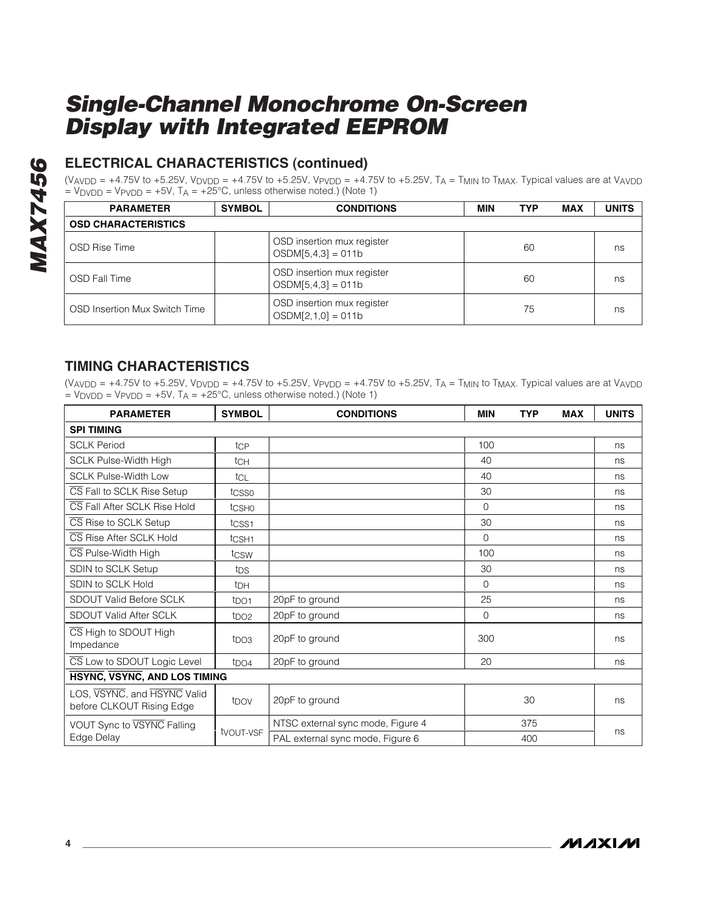# **MAX7456 MAX7456**

### **ELECTRICAL CHARACTERISTICS (continued)**

(V<sub>AVDD</sub> = +4.75V to +5.25V, V<sub>DVDD</sub> = +4.75V to +5.25V, V<sub>PVDD</sub> = +4.75V to +5.25V, T<sub>A</sub> = T<sub>MIN</sub> to T<sub>MAX</sub>. Typical values are at V<sub>AVDD</sub>  $=$  V<sub>DVDD</sub> = V<sub>PVDD</sub> =  $+5V$ , T<sub>A</sub> =  $+25^{\circ}$ C, unless otherwise noted.) (Note 1)

| <b>PARAMETER</b>              | <b>SYMBOL</b> | <b>CONDITIONS</b>                                  | MIN | <b>TYP</b> | <b>MAX</b> | <b>UNITS</b> |  |  |  |  |
|-------------------------------|---------------|----------------------------------------------------|-----|------------|------------|--------------|--|--|--|--|
| <b>OSD CHARACTERISTICS</b>    |               |                                                    |     |            |            |              |  |  |  |  |
| OSD Rise Time                 |               | OSD insertion mux register<br>$OSDM[5,4,3] = 011b$ |     | 60         |            | ns           |  |  |  |  |
| <b>OSD Fall Time</b>          |               | OSD insertion mux register<br>$OSDM[5,4,3] = 011b$ |     | 60         |            | ns           |  |  |  |  |
| OSD Insertion Mux Switch Time |               | OSD insertion mux register<br>$OSDM[2,1,0] = 011b$ |     | 75         |            | ns           |  |  |  |  |

### **TIMING CHARACTERISTICS**

(VAVDD =  $+4.75V$  to  $+5.25V$ , V<sub>DVDD</sub> =  $+4.75V$  to  $+5.25V$ , VPv<sub>DD</sub> =  $+4.75V$  to  $+5.25V$ , T<sub>A</sub> = T<sub>MIN</sub> to T<sub>MAX</sub>. Typical values are at V<sub>AVDD</sub>  $=$  V<sub>DVDD</sub> = V<sub>PVDD</sub> = +5V, T<sub>A</sub> = +25°C, unless otherwise noted.) (Note 1)

| <b>PARAMETER</b>                                                             | <b>SYMBOL</b>     | <b>CONDITIONS</b>                       | <b>MIN</b> | <b>TYP</b> | <b>MAX</b> | <b>UNITS</b> |  |
|------------------------------------------------------------------------------|-------------------|-----------------------------------------|------------|------------|------------|--------------|--|
| <b>SPI TIMING</b>                                                            |                   |                                         |            |            |            |              |  |
| <b>SCLK Period</b>                                                           | tcp               |                                         | 100        |            |            | ns           |  |
| <b>SCLK Pulse-Width High</b>                                                 | tch               |                                         | 40         |            |            | ns           |  |
| <b>SCLK Pulse-Width Low</b>                                                  | tcl               |                                         | 40         |            |            | ns           |  |
| CS Fall to SCLK Rise Setup                                                   | tcsso             |                                         | 30         |            |            | ns           |  |
| CS Fall After SCLK Rise Hold                                                 | tcsho             |                                         | $\Omega$   |            |            | ns           |  |
| CS Rise to SCLK Setup                                                        | tcss1             |                                         | 30         |            |            | ns           |  |
| CS Rise After SCLK Hold                                                      | t <sub>CSH1</sub> |                                         | $\Omega$   |            |            | ns           |  |
| CS Pulse-Width High                                                          | tcsw              |                                         | 100        |            |            | ns           |  |
| SDIN to SCLK Setup                                                           | t <sub>DS</sub>   |                                         | 30         |            |            | ns           |  |
| SDIN to SCLK Hold                                                            | t <sub>DH</sub>   |                                         | $\Omega$   |            |            | ns           |  |
| <b>SDOUT Valid Before SCLK</b>                                               | t <sub>DO1</sub>  | 25<br>20pF to ground                    |            |            |            | ns           |  |
| SDOUT Valid After SCLK                                                       | tpO2              | 20pF to ground                          | $\Omega$   |            |            | ns           |  |
| CS High to SDOUT High<br>t <sub>DO3</sub><br>Impedance                       |                   | 300<br>20pF to ground                   |            |            |            | ns           |  |
| CS Low to SDOUT Logic Level                                                  | t <sub>DO4</sub>  | 20pF to ground                          | 20         |            |            | ns           |  |
| HSYNC, VSYNC, AND LOS TIMING                                                 |                   |                                         |            |            |            |              |  |
| LOS, VSYNC, and HSYNC Valid<br>t <sub>DOV</sub><br>before CLKOUT Rising Edge |                   | 20pF to ground                          |            | 30         |            | ns           |  |
| VOUT Sync to VSYNC Falling                                                   |                   | NTSC external sync mode, Figure 4       |            | 375        |            |              |  |
| Edge Delay                                                                   | tvout-vsF         | PAL external sync mode, Figure 6<br>400 |            |            |            | ns           |  |

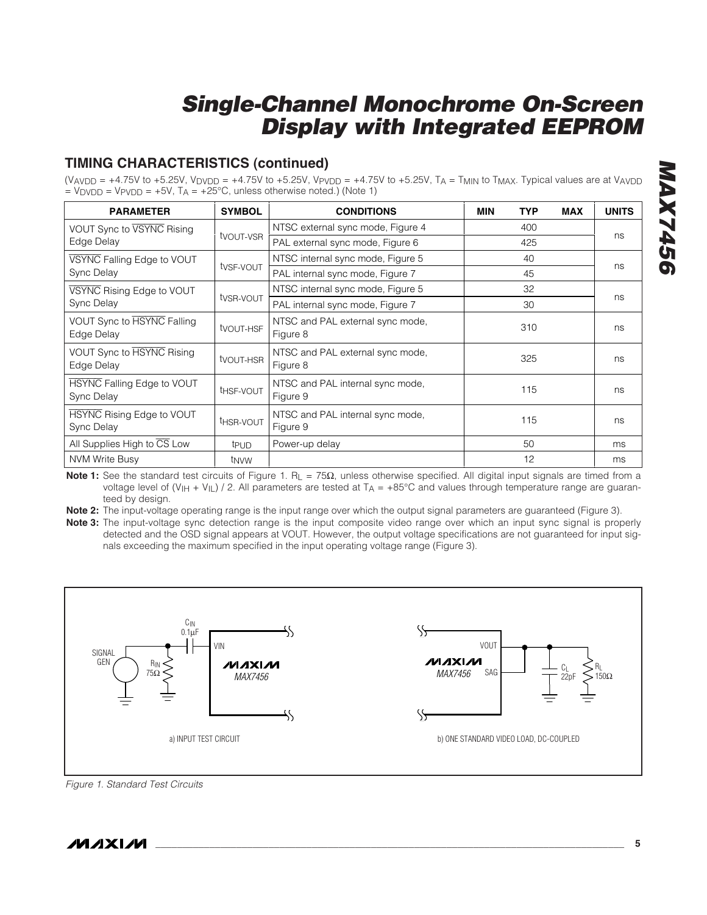### **TIMING CHARACTERISTICS (continued)**

(VAVDD = +4.75V to +5.25V, VDVDD = +4.75V to +5.25V, VPVDD = +4.75V to +5.25V, TA = TMIN to TMAX. Typical values are at VAVDD  $=$  V<sub>DVDD</sub> = V<sub>PVDD</sub> =  $+5V$ , T<sub>A</sub> =  $+25^{\circ}$ C, unless otherwise noted.) (Note 1)

| <b>PARAMETER</b>                                                 | <b>SYMBOL</b>         | <b>CONDITIONS</b>                            | <b>MIN</b> | <b>TYP</b> | <b>MAX</b> | <b>UNITS</b> |
|------------------------------------------------------------------|-----------------------|----------------------------------------------|------------|------------|------------|--------------|
| VOUT Sync to VSYNC Rising                                        |                       | NTSC external sync mode, Figure 4            | 400        |            |            |              |
| Edge Delay                                                       | tvout-vsr             | PAL external sync mode, Figure 6             | 425        |            |            | ns           |
| VSYNC Falling Edge to VOUT                                       |                       | NTSC internal sync mode, Figure 5            |            | 40         |            | ns           |
| Sync Delay                                                       | tvsF-vout             | PAL internal sync mode, Figure 7             |            | 45         |            |              |
| VSYNC Rising Edge to VOUT                                        |                       | NTSC internal sync mode, Figure 5            |            | 32         |            |              |
| Sync Delay                                                       | tysr-vout             | PAL internal sync mode, Figure 7             |            | ns         |            |              |
| VOUT Sync to HSYNC Falling<br>Edge Delay                         | tvout-HSF             | NTSC and PAL external sync mode,<br>Figure 8 |            | 310        |            | ns           |
| VOUT Sync to HSYNC Rising<br>Edge Delay                          | tvout-HSR             | NTSC and PAL external sync mode,<br>Figure 8 | 325        |            |            | ns           |
| <b>HSYNC Falling Edge to VOUT</b><br>Sync Delay                  | t <sub>HSF-VOUT</sub> | NTSC and PAL internal sync mode,<br>Figure 9 | 115        |            |            | ns           |
| HSYNC Rising Edge to VOUT<br>t <sub>HSR-VOUT</sub><br>Sync Delay |                       | NTSC and PAL internal sync mode,<br>Figure 9 | 115        |            |            | ns           |
| All Supplies High to CS Low                                      | t <sub>PUD</sub>      | Power-up delay                               |            | 50         |            | ms           |
| <b>NVM Write Busy</b>                                            | t <sub>NVW</sub>      |                                              |            | 12         |            | ms           |

Note 1: See the standard test circuits of Figure 1. R<sub>L</sub> = 75Ω, unless otherwise specified. All digital input signals are timed from a voltage level of  $(V_{H} + V_{L})$  / 2. All parameters are tested at  $T_A = +85^{\circ}$ C and values through temperature range are guaranteed by design.

**Note 2:** The input-voltage operating range is the input range over which the output signal parameters are guaranteed (Figure 3).

**Note 3:** The input-voltage sync detection range is the input composite video range over which an input sync signal is properly detected and the OSD signal appears at VOUT. However, the output voltage specifications are not guaranteed for input signals exceeding the maximum specified in the input operating voltage range (Figure 3).



Figure 1. Standard Test Circuits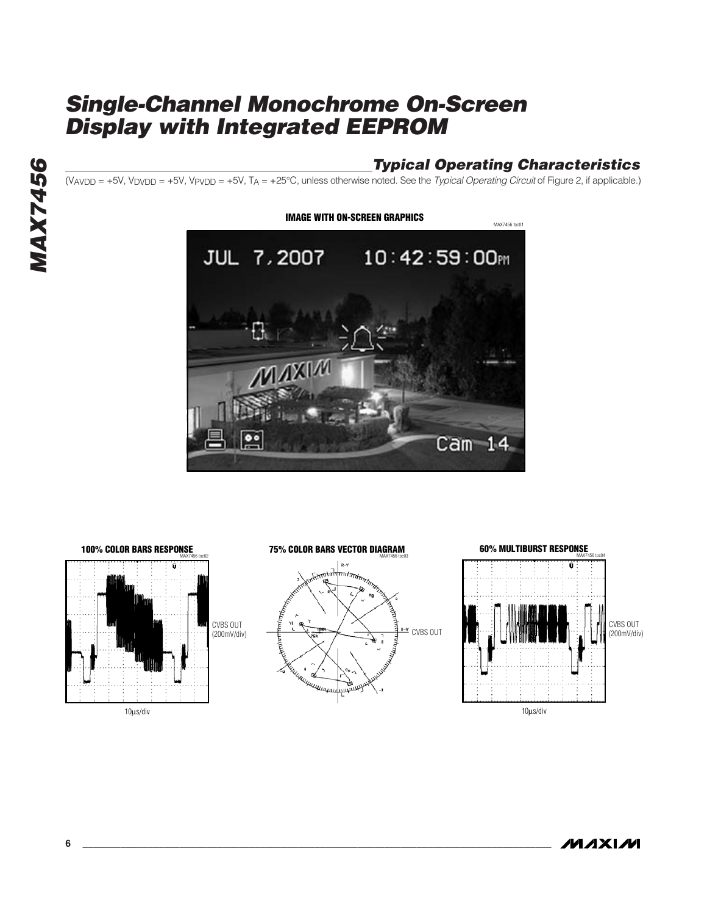### **Typical Operating Characteristics**

 $(V_{AVDD} = +5V, V_{DVDD} = +5V, V_{PVDD} = +5V, T_A = +25°C$ , unless otherwise noted. See the Typical Operating Circuit of Figure 2, if applicable.)





**MAX7456**

**MAX7456** 

**MAXM**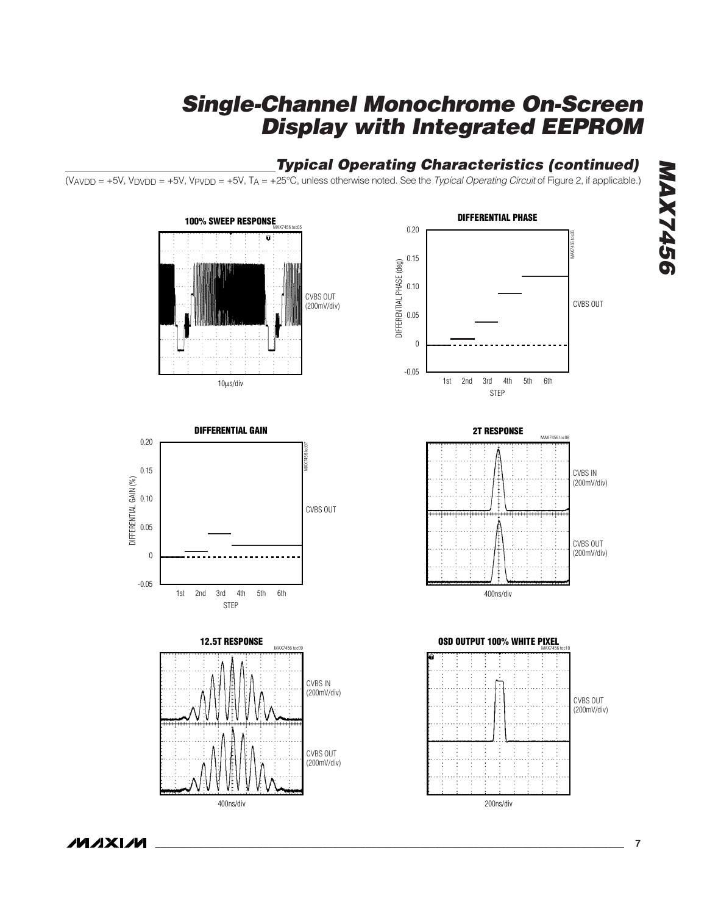### **Typical Operating Characteristics (continued)**

 $\overline{(V_{AVDD} = +5V, V_{DVDD} = +5V, V_{PVDD} = +5V, T_A = +25^{\circ}C,}$  unless otherwise noted. See the *Typical Operating Circuit* of Figure 2, if applicable.)

CVBS OUT (200mV/div)

MAX7456 toc05



10μs/div

**100% SWEEP RESPONSE**









**MAXIM**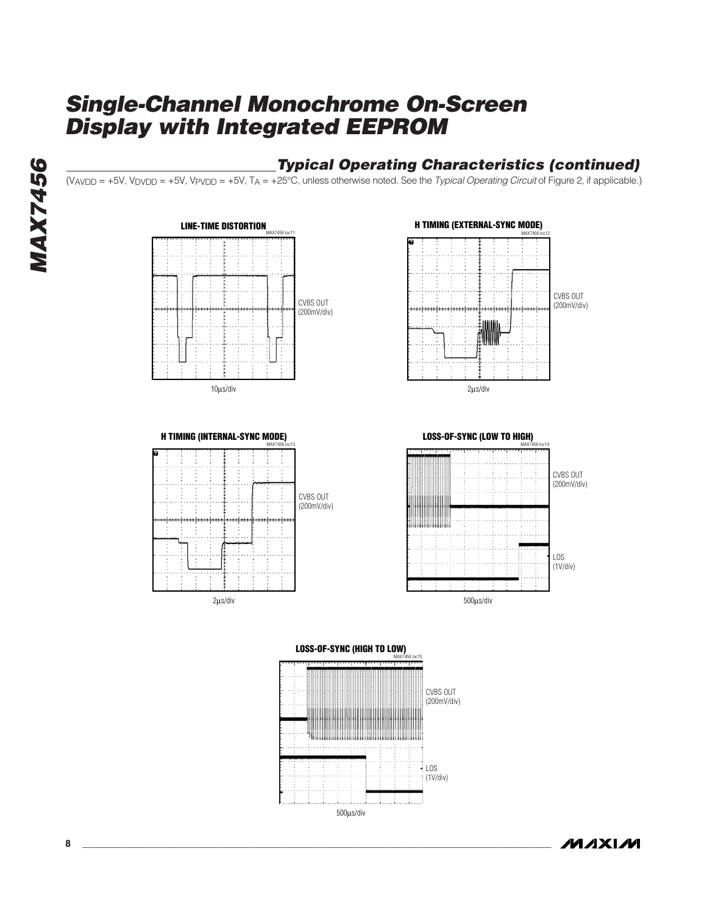### **Typical Operating Characteristics (continued)**

 $(V_{AVDD} = +5V, V_{DVDD} = +5V, V_{PVDD} = +5V, T_A = +25°C$ , unless otherwise noted. See the Typical Operating Circuit of Figure 2, if applicable.)











**MAXM**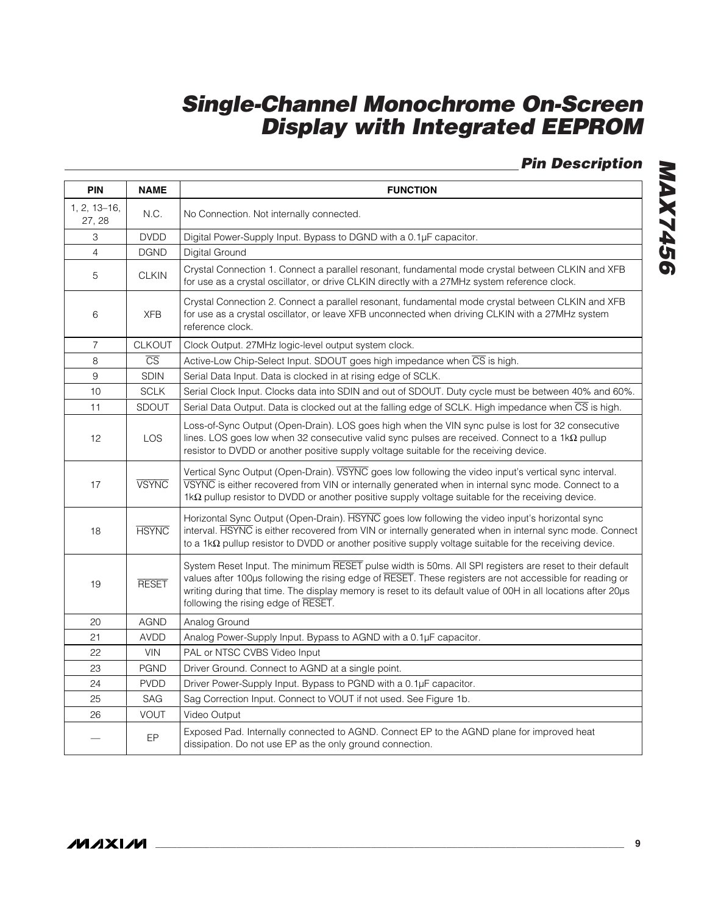**Pin Description**

| <b>PIN</b>             | <b>NAME</b>            | <b>FUNCTION</b>                                                                                                                                                                                                                                                                                                                                                             |
|------------------------|------------------------|-----------------------------------------------------------------------------------------------------------------------------------------------------------------------------------------------------------------------------------------------------------------------------------------------------------------------------------------------------------------------------|
| 1, 2, 13-16,<br>27, 28 | N.C.                   | No Connection. Not internally connected.                                                                                                                                                                                                                                                                                                                                    |
| 3                      | <b>DVDD</b>            | Digital Power-Supply Input. Bypass to DGND with a 0.1µF capacitor.                                                                                                                                                                                                                                                                                                          |
| $\overline{4}$         | <b>DGND</b>            | Digital Ground                                                                                                                                                                                                                                                                                                                                                              |
| 5                      | <b>CLKIN</b>           | Crystal Connection 1. Connect a parallel resonant, fundamental mode crystal between CLKIN and XFB<br>for use as a crystal oscillator, or drive CLKIN directly with a 27MHz system reference clock.                                                                                                                                                                          |
| 6                      | <b>XFB</b>             | Crystal Connection 2. Connect a parallel resonant, fundamental mode crystal between CLKIN and XFB<br>for use as a crystal oscillator, or leave XFB unconnected when driving CLKIN with a 27MHz system<br>reference clock.                                                                                                                                                   |
| $\overline{7}$         | <b>CLKOUT</b>          | Clock Output. 27MHz logic-level output system clock.                                                                                                                                                                                                                                                                                                                        |
| 8                      | $\overline{\text{CS}}$ | Active-Low Chip-Select Input. SDOUT goes high impedance when CS is high.                                                                                                                                                                                                                                                                                                    |
| 9                      | <b>SDIN</b>            | Serial Data Input. Data is clocked in at rising edge of SCLK.                                                                                                                                                                                                                                                                                                               |
| 10                     | <b>SCLK</b>            | Serial Clock Input. Clocks data into SDIN and out of SDOUT. Duty cycle must be between 40% and 60%.                                                                                                                                                                                                                                                                         |
| 11                     | SDOUT                  | Serial Data Output. Data is clocked out at the falling edge of SCLK. High impedance when $\overline{\text{CS}}$ is high.                                                                                                                                                                                                                                                    |
| 12                     | LOS                    | Loss-of-Sync Output (Open-Drain). LOS goes high when the VIN sync pulse is lost for 32 consecutive<br>lines. LOS goes low when 32 consecutive valid sync pulses are received. Connect to a $1k\Omega$ pullup<br>resistor to DVDD or another positive supply voltage suitable for the receiving device.                                                                      |
| 17                     | <b>VSYNC</b>           | Vertical Sync Output (Open-Drain). VSYNC goes low following the video input's vertical sync interval.<br>VSYNC is either recovered from VIN or internally generated when in internal sync mode. Connect to a<br>$1 \text{k}\Omega$ pullup resistor to DVDD or another positive supply voltage suitable for the receiving device.                                            |
| 18                     | <b>HSYNC</b>           | Horizontal Sync Output (Open-Drain). HSYNC goes low following the video input's horizontal sync<br>interval. HSYNC is either recovered from VIN or internally generated when in internal sync mode. Connect<br>to a 1k $\Omega$ pullup resistor to DVDD or another positive supply voltage suitable for the receiving device.                                               |
| 19                     | <b>RESET</b>           | System Reset Input. The minimum RESET pulse width is 50ms. All SPI registers are reset to their default<br>values after 100µs following the rising edge of RESET. These registers are not accessible for reading or<br>writing during that time. The display memory is reset to its default value of 00H in all locations after 20µs<br>following the rising edge of RESET. |
| 20                     | <b>AGND</b>            | Analog Ground                                                                                                                                                                                                                                                                                                                                                               |
| 21                     | AVDD                   | Analog Power-Supply Input. Bypass to AGND with a 0.1µF capacitor.                                                                                                                                                                                                                                                                                                           |
| 22                     | <b>VIN</b>             | PAL or NTSC CVBS Video Input                                                                                                                                                                                                                                                                                                                                                |
| 23                     | <b>PGND</b>            | Driver Ground. Connect to AGND at a single point.                                                                                                                                                                                                                                                                                                                           |
| 24                     | <b>PVDD</b>            | Driver Power-Supply Input. Bypass to PGND with a 0.1µF capacitor.                                                                                                                                                                                                                                                                                                           |
| 25                     | SAG                    | Sag Correction Input. Connect to VOUT if not used. See Figure 1b.                                                                                                                                                                                                                                                                                                           |
| 26                     | <b>VOUT</b>            | Video Output                                                                                                                                                                                                                                                                                                                                                                |
|                        | <b>EP</b>              | Exposed Pad. Internally connected to AGND. Connect EP to the AGND plane for improved heat<br>dissipation. Do not use EP as the only ground connection.                                                                                                                                                                                                                      |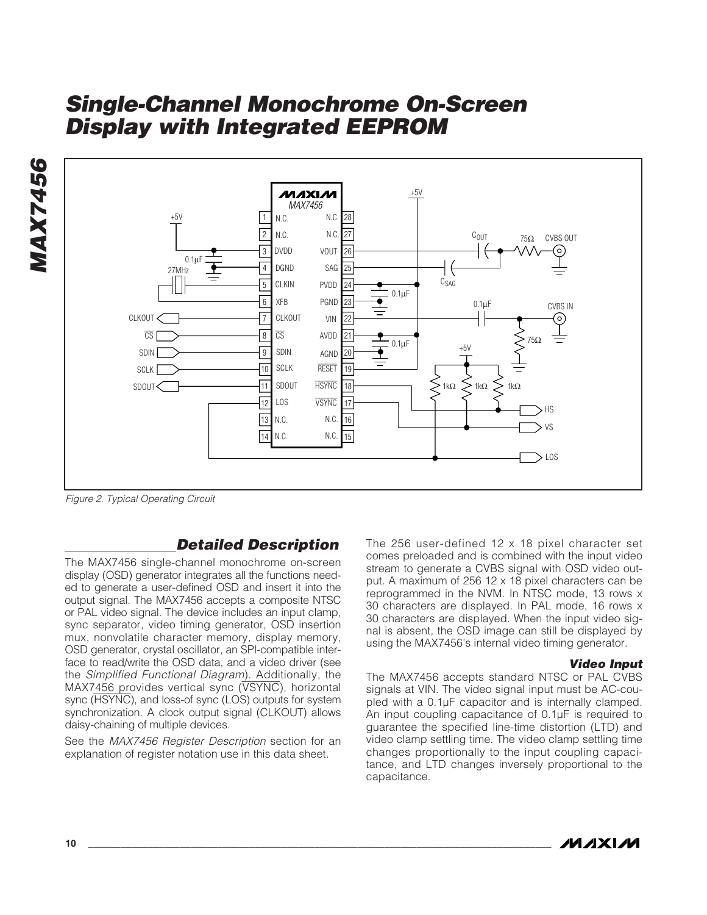

Figure 2. Typical Operating Circuit

### **Detailed Description**

The MAX7456 single-channel monochrome on-screen display (OSD) generator integrates all the functions needed to generate a user-defined OSD and insert it into the output signal. The MAX7456 accepts a composite NTSC or PAL video signal. The device includes an input clamp, sync separator, video timing generator, OSD insertion mux, nonvolatile character memory, display memory, OSD generator, crystal oscillator, an SPI-compatible interface to read/write the OSD data, and a video driver (see the Simplified Functional Diagram). Additionally, the MAX7456 provides vertical sync (VSYNC), horizontal sync (HSYNC), and loss-of sync (LOS) outputs for system synchronization. A clock output signal (CLKOUT) allows daisy-chaining of multiple devices.

See the MAX7456 Register Description section for an explanation of register notation use in this data sheet.

The 256 user-defined 12 x 18 pixel character set comes preloaded and is combined with the input video stream to generate a CVBS signal with OSD video output. A maximum of 256 12 x 18 pixel characters can be reprogrammed in the NVM. In NTSC mode, 13 rows x 30 characters are displayed. In PAL mode, 16 rows x 30 characters are displayed. When the input video signal is absent, the OSD image can still be displayed by using the MAX7456's internal video timing generator.

#### **Video Input**

The MAX7456 accepts standard NTSC or PAL CVBS signals at VIN. The video signal input must be AC-coupled with a 0.1µF capacitor and is internally clamped. An input coupling capacitance of 0.1µF is required to guarantee the specified line-time distortion (LTD) and video clamp settling time. The video clamp settling time changes proportionally to the input coupling capacitance, and LTD changes inversely proportional to the capacitance.

**MAX7456**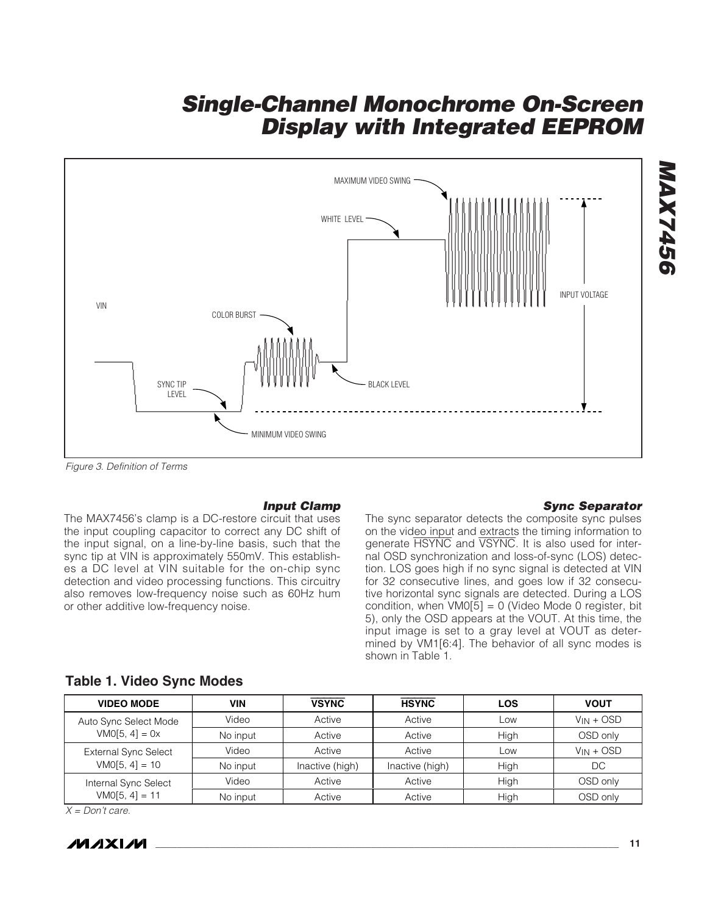

Figure 3. Definition of Terms

#### **Input Clamp**

The MAX7456's clamp is a DC-restore circuit that uses the input coupling capacitor to correct any DC shift of the input signal, on a line-by-line basis, such that the sync tip at VIN is approximately 550mV. This establishes a DC level at VIN suitable for the on-chip sync detection and video processing functions. This circuitry also removes low-frequency noise such as 60Hz hum or other additive low-frequency noise.

#### **Sync Separator**

**MAX7456**

**MAX7456** 

The sync separator detects the composite sync pulses on the video input and extracts the timing information to generate HSYNC and VSYNC. It is also used for internal OSD synchronization and loss-of-sync (LOS) detection. LOS goes high if no sync signal is detected at VIN for 32 consecutive lines, and goes low if 32 consecutive horizontal sync signals are detected. During a LOS condition, when  $VM0[5] = 0$  (Video Mode 0 register, bit 5), only the OSD appears at the VOUT. At this time, the input image is set to a gray level at VOUT as determined by VM1[6:4]. The behavior of all sync modes is shown in Table 1.

| <b>VIDEO MODE</b>           | VIN      | <b>VSYNC</b>    | <b>HSYNC</b>    | <b>LOS</b> | <b>VOUT</b>    |
|-----------------------------|----------|-----------------|-----------------|------------|----------------|
| Auto Sync Select Mode       | Video    | Active          | Active          | LOW        | $V_{IN} + OSD$ |
| $VM0[5, 4] = 0x$            | No input | Active          | Active          | High       | OSD only       |
| <b>External Sync Select</b> | Video    | Active          | Active          | <b>LOW</b> | $V_{IN} + OSD$ |
| $VMO[5, 4] = 10$            | No input | Inactive (high) | Inactive (high) | High       | DC             |
| Internal Sync Select        | Video    | Active          | Active          | High       | OSD only       |
| $VMO[5, 4] = 11$            | No input | Active          | Active          | High       | OSD only       |

#### **Table 1. Video Sync Modes**

 $X = Don't care.$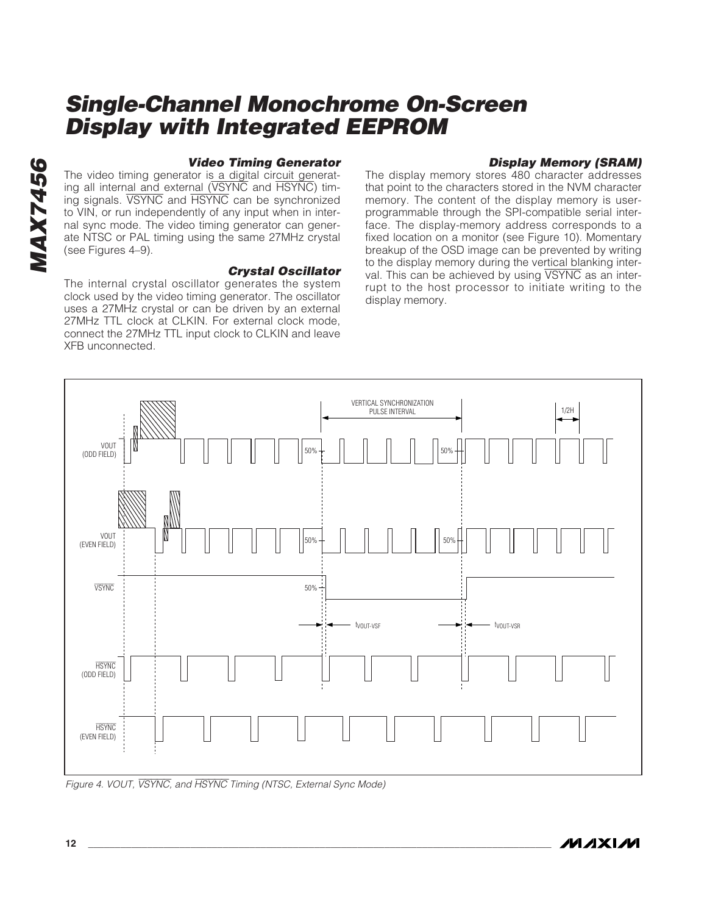# **MAX7456 MAX7456**

#### **Video Timing Generator**

The video timing generator is a digital circuit generating all internal and external (VSYNC and HSYNC) timing signals. VSYNC and HSYNC can be synchronized to VIN, or run independently of any input when in internal sync mode. The video timing generator can generate NTSC or PAL timing using the same 27MHz crystal (see Figures 4–9).

#### **Crystal Oscillator**

The internal crystal oscillator generates the system clock used by the video timing generator. The oscillator uses a 27MHz crystal or can be driven by an external 27MHz TTL clock at CLKIN. For external clock mode, connect the 27MHz TTL input clock to CLKIN and leave XFB unconnected.

### **Display Memory (SRAM)**

The display memory stores 480 character addresses that point to the characters stored in the NVM character memory. The content of the display memory is userprogrammable through the SPI-compatible serial interface. The display-memory address corresponds to a fixed location on a monitor (see Figure 10). Momentary breakup of the OSD image can be prevented by writing to the display memory during the vertical blanking interval. This can be achieved by using VSYNC as an interrupt to the host processor to initiate writing to the display memory.



Figure 4. VOUT, VSYNC, and HSYNC Timing (NTSC, External Sync Mode)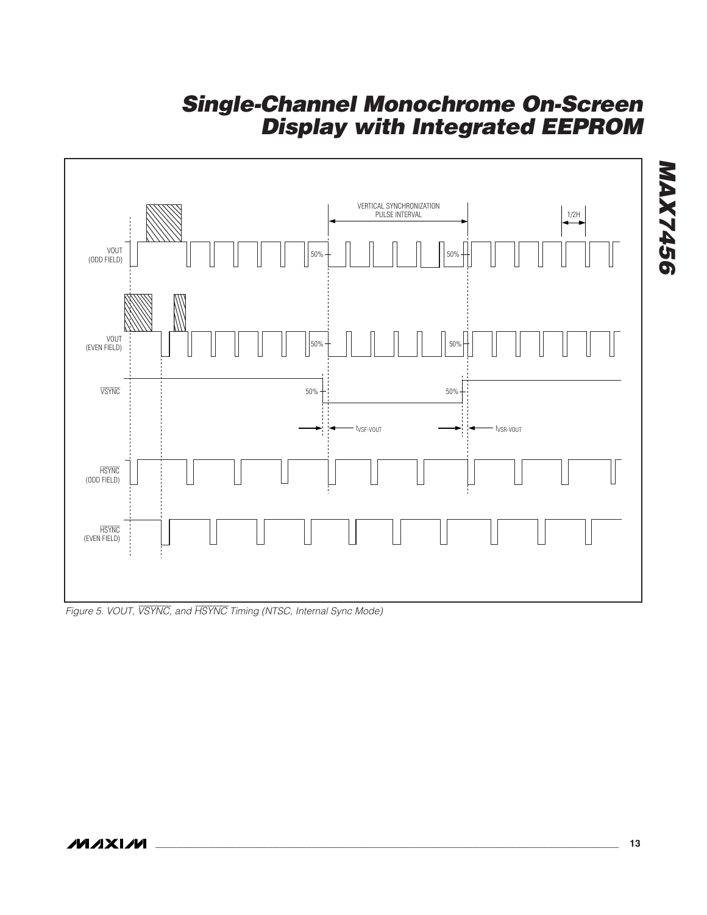

Figure 5. VOUT, VSYNC, and HSYNC Timing (NTSC, Internal Sync Mode)

**MAX7456**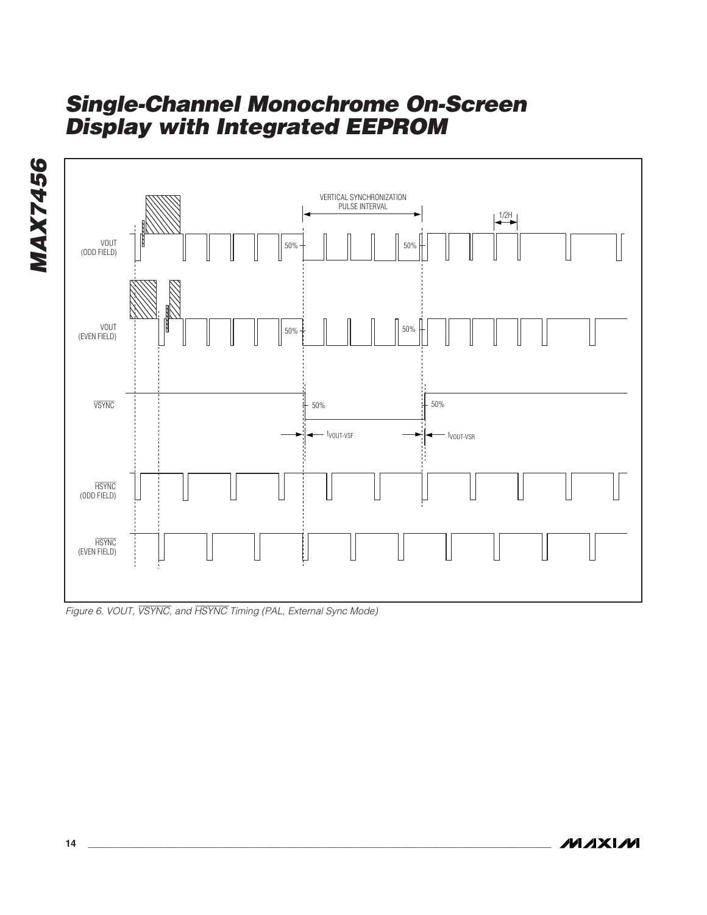

Figure 6. VOUT, VSYNC, and HSYNC Timing (PAL, External Sync Mode)

**MAXIM** 

**MAX7456**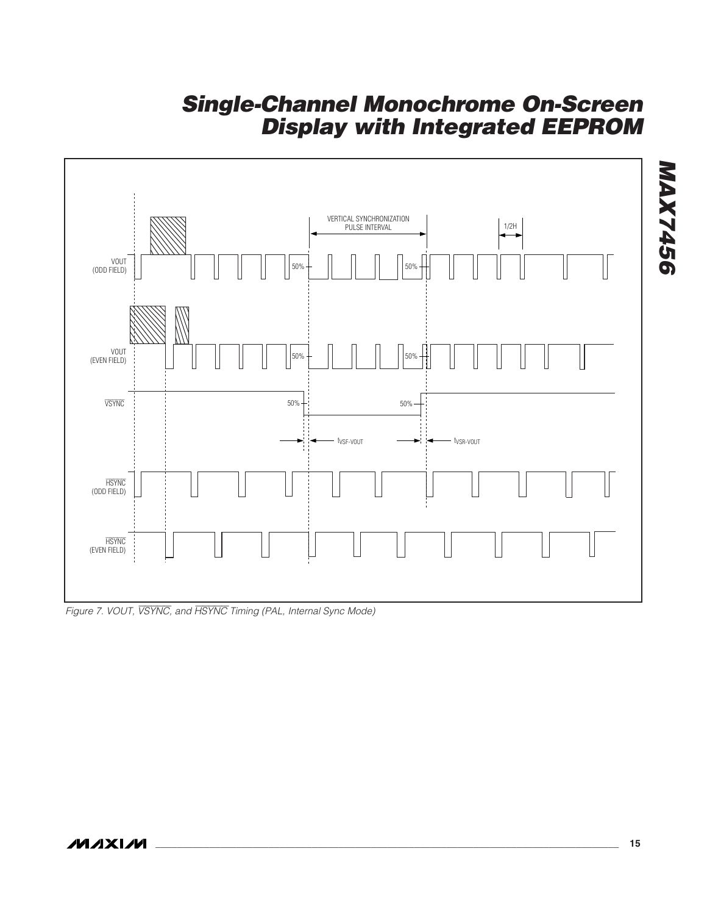

Figure 7. VOUT, VSYNC, and HSYNC Timing (PAL, Internal Sync Mode)

**MAX7456**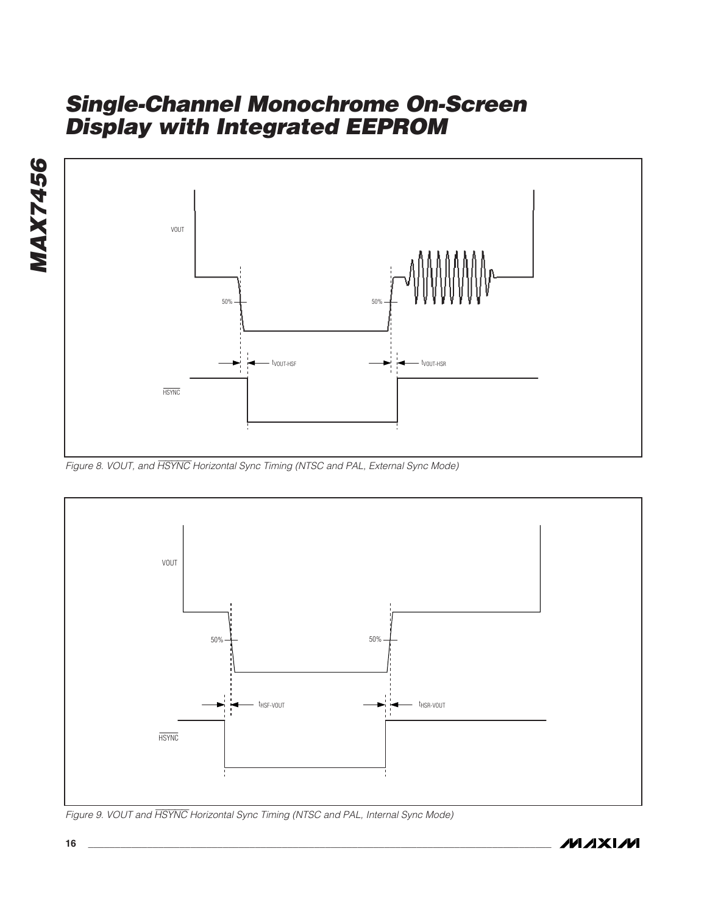



Figure 8. VOUT, and HSYNC Horizontal Sync Timing (NTSC and PAL, External Sync Mode)



Figure 9. VOUT and HSYNC Horizontal Sync Timing (NTSC and PAL, Internal Sync Mode)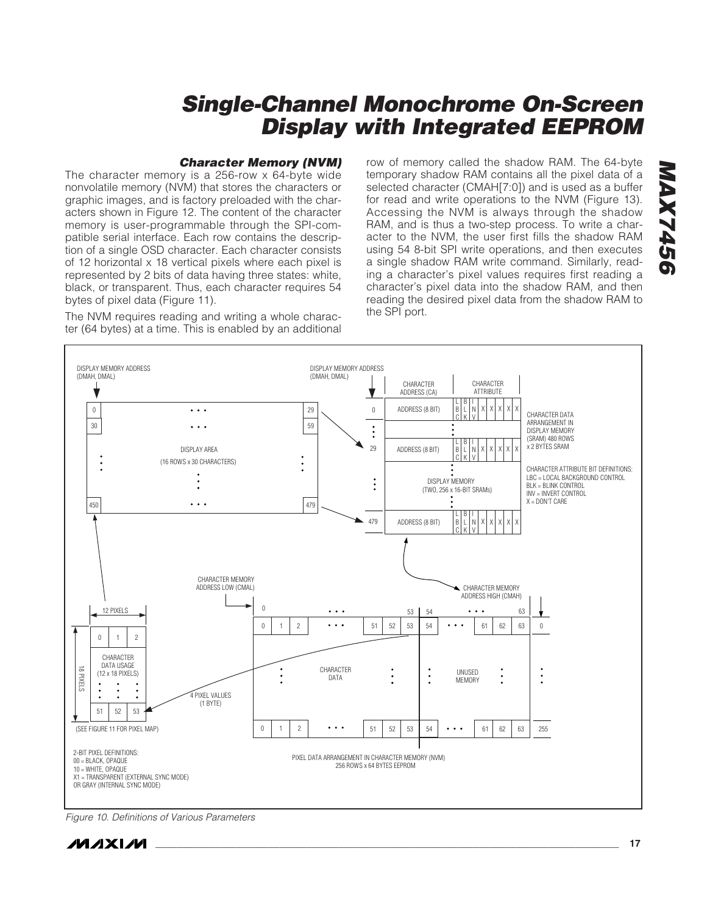#### **Character Memory (NVM)**

The character memory is a 256-row x 64-byte wide nonvolatile memory (NVM) that stores the characters or graphic images, and is factory preloaded with the characters shown in Figure 12. The content of the character memory is user-programmable through the SPI-compatible serial interface. Each row contains the description of a single OSD character. Each character consists of 12 horizontal x 18 vertical pixels where each pixel is represented by 2 bits of data having three states: white, black, or transparent. Thus, each character requires 54 bytes of pixel data (Figure 11).

The NVM requires reading and writing a whole character (64 bytes) at a time. This is enabled by an additional

row of memory called the shadow RAM. The 64-byte temporary shadow RAM contains all the pixel data of a selected character (CMAH[7:0]) and is used as a buffer for read and write operations to the NVM (Figure 13). Accessing the NVM is always through the shadow RAM, and is thus a two-step process. To write a character to the NVM, the user first fills the shadow RAM using 54 8-bit SPI write operations, and then executes a single shadow RAM write command. Similarly, reading a character's pixel values requires first reading a character's pixel data into the shadow RAM, and then reading the desired pixel data from the shadow RAM to the SPI port.



Figure 10. Definitions of Various Parameters



**MAX7456**

*9947XA56*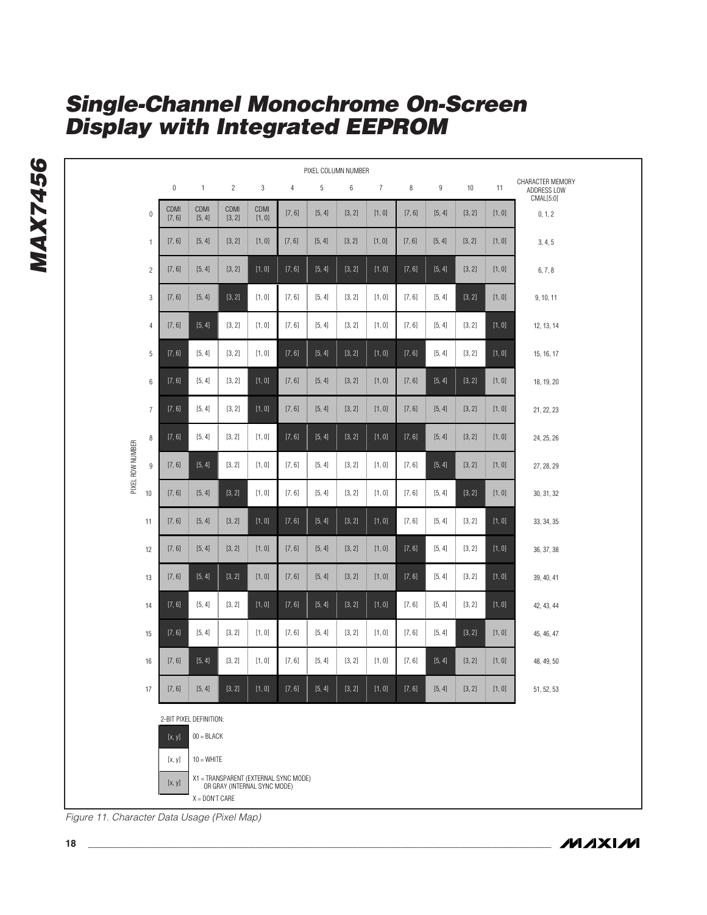|                  | PIXEL COLUMN NUMBER |                        |                         |                |                              |                                       |        |        |                |        |        |        |        |                                              |
|------------------|---------------------|------------------------|-------------------------|----------------|------------------------------|---------------------------------------|--------|--------|----------------|--------|--------|--------|--------|----------------------------------------------|
|                  |                     | $\pmb{0}$              | $\mathbf{1}$            | $\overline{c}$ | $\sqrt{3}$                   | $\overline{4}$                        | 5      | 6      | $\overline{7}$ | 8      | 9      | $10$   | 11     | CHARACTER MEMORY<br>ADDRESS LOW<br>CMAL[5:0] |
|                  | $\pmb{0}$           | <b>CDMI</b><br>[7, 6]  | CDMI<br>[5, 4]          | CDMI<br>[3, 2] | CDMI<br>[1, 0]               | [7, 6]                                | [5, 4] | [3, 2] | [1, 0]         | [7, 6] | [5, 4] | [3, 2] | [1, 0] | 0, 1, 2                                      |
|                  | $\mathbf{1}$        | [7, 6]                 | [5, 4]                  | [3, 2]         | [1, 0]                       | [7, 6]                                | [5, 4] | [3, 2] | [1, 0]         | [7, 6] | [5, 4] | [3, 2] | [1, 0] | 3, 4, 5                                      |
|                  | $\overline{c}$      | [7, 6]                 | [5, 4]                  | [3, 2]         | [1, 0]                       | [7, 6]                                | [5, 4] | [3, 2] | [1, 0]         | [7, 6] | [5, 4] | [3, 2] | [1, 0] | 6, 7, 8                                      |
|                  | 3                   | [7, 6]                 | [5, 4]                  | [3, 2]         | [1, 0]                       | [7, 6]                                | [5, 4] | [3, 2] | [1, 0]         | [7, 6] | [5, 4] | [3, 2] | [1, 0] | 9, 10, 11                                    |
|                  | $\overline{4}$      | [7, 6]                 | [5, 4]                  | [3, 2]         | [1, 0]                       | [7, 6]                                | [5, 4] | [3, 2] | [1, 0]         | [7, 6] | [5, 4] | [3, 2] | [1, 0] | 12, 13, 14                                   |
|                  | 5                   | [7, 6]                 | [5, 4]                  | [3, 2]         | [1, 0]                       | [7, 6]                                | [5, 4] | [3, 2] | [1, 0]         | [7, 6] | [5, 4] | [3, 2] | [1, 0] | 15, 16, 17                                   |
|                  | 6                   | [7, 6]                 | [5, 4]                  | [3, 2]         | [1, 0]                       | [7, 6]                                | [5, 4] | [3, 2] | [1, 0]         | [7, 6] | [5, 4] | [3, 2] | [1, 0] | 18, 19, 20                                   |
|                  | $\overline{7}$      | [7, 6]                 | [5, 4]                  | [3, 2]         | [1, 0]                       | [7, 6]                                | [5, 4] | [3, 2] | [1, 0]         | [7, 6] | [5, 4] | [3, 2] | [1, 0] | 21, 22, 23                                   |
|                  | 8                   | [7, 6]                 | [5, 4]                  | [3, 2]         | [1, 0]                       | [7, 6]                                | [5, 4] | [3, 2] | [1, 0]         | [7, 6] | [5, 4] | [3, 2] | [1, 0] | 24, 25, 26                                   |
| PIXEL ROW NUMBER | $9\,$               | [7, 6]                 | [5, 4]                  | [3, 2]         | [1, 0]                       | [7, 6]                                | [5, 4] | [3, 2] | [1, 0]         | [7, 6] | [5, 4] | [3, 2] | [1, 0] | 27, 28, 29                                   |
|                  | 10                  | [7, 6]                 | [5, 4]                  | [3, 2]         | [1, 0]                       | [7, 6]                                | [5, 4] | [3, 2] | [1, 0]         | [7, 6] | [5, 4] | [3, 2] | [1, 0] | 30, 31, 32                                   |
|                  | 11                  | [7, 6]                 | [5, 4]                  | [3, 2]         | [1, 0]                       | [7, 6]                                | [5, 4] | [3, 2] | [1, 0]         | [7, 6] | [5, 4] | [3, 2] | [1, 0] | 33, 34, 35                                   |
|                  | 12                  | [7, 6]                 | [5, 4]                  | [3, 2]         | [1, 0]                       | [7, 6]                                | [5, 4] | [3, 2] | [1, 0]         | [7, 6] | [5, 4] | [3, 2] | [1, 0] | 36, 37, 38                                   |
|                  | 13                  | [7, 6]                 | [5, 4]                  | [3, 2]         | [1, 0]                       | [7, 6]                                | [5, 4] | [3, 2] | [1, 0]         | [7, 6] | [5, 4] | [3, 2] | [1, 0] | 39, 40, 41                                   |
|                  | 14                  | [7, 6]                 | [5, 4]                  | [3, 2]         | [1, 0]                       | [7, 6]                                | [5, 4] | [3, 2] | [1, 0]         | [7, 6] | [5, 4] | [3, 2] | [1, 0] | 42, 43, 44                                   |
|                  | 15                  | [7, 6]                 | [5, 4]                  | [3, 2]         | [1, 0]                       | [7, 6]                                | [5, 4] | [3, 2] | [1, 0]         | [7, 6] | [5, 4] | [3, 2] | [1, 0] | 45, 46, 47                                   |
|                  | 16                  | [7, 6]                 | [5, 4]                  | [3, 2]         | [1, 0]                       | [7, 6]                                | [5, 4] | [3, 2] | [1, 0]         | [7, 6] | [5, 4] | [3, 2] | [1, 0] | 48, 49, 50                                   |
|                  | 17                  | [7, 6]                 | [5, 4]                  | [3, 2]         | [1, 0]                       | [7, 6]                                | [5, 4] | [3, 2] | [1, 0]         | [7, 6] | [5, 4] | [3, 2] | [1, 0] | 51, 52, 53                                   |
|                  |                     |                        | 2-BIT PIXEL DEFINITION: |                |                              |                                       |        |        |                |        |        |        |        |                                              |
|                  |                     | [x, y]                 | $00 = BLACK$            |                |                              |                                       |        |        |                |        |        |        |        |                                              |
|                  |                     | $10 = WHITE$<br>[x, y] |                         |                |                              |                                       |        |        |                |        |        |        |        |                                              |
|                  |                     | [x, y]                 | $X =$ DON'T CARE        |                | OR GRAY (INTERNAL SYNC MODE) | X1 = TRANSPARENT (EXTERNAL SYNC MODE) |        |        |                |        |        |        |        |                                              |

Figure 11. Character Data Usage (Pixel Map)

**MAXIM** 

**MAX7456**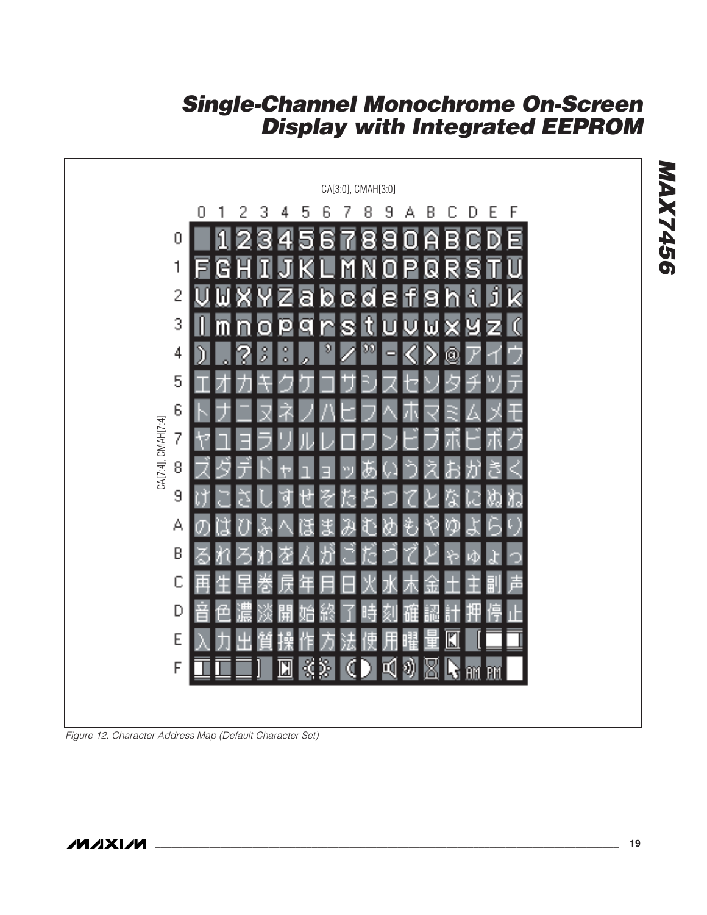

Figure 12. Character Address Map (Default Character Set)

**MAX7456**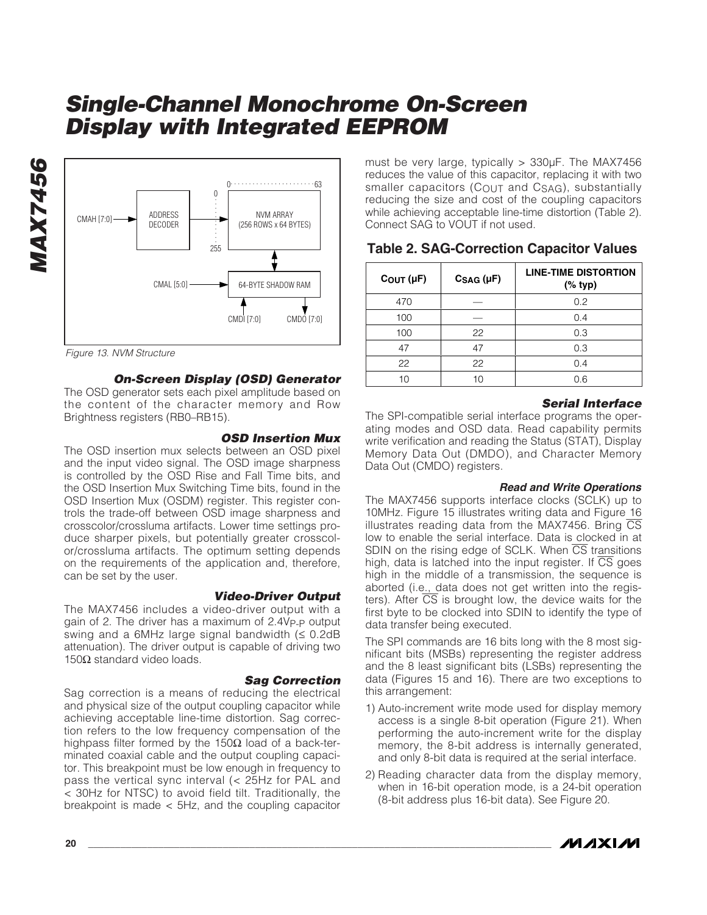

Figure 13. NVM Structure

**MAX7456**

**MAX7456** 

#### **On-Screen Display (OSD) Generator**

The OSD generator sets each pixel amplitude based on the content of the character memory and Row Brightness registers (RB0–RB15).

#### **OSD Insertion Mux**

The OSD insertion mux selects between an OSD pixel and the input video signal. The OSD image sharpness is controlled by the OSD Rise and Fall Time bits, and the OSD Insertion Mux Switching Time bits, found in the OSD Insertion Mux (OSDM) register. This register controls the trade-off between OSD image sharpness and crosscolor/crossluma artifacts. Lower time settings produce sharper pixels, but potentially greater crosscolor/crossluma artifacts. The optimum setting depends on the requirements of the application and, therefore, can be set by the user.

#### **Video-Driver Output**

The MAX7456 includes a video-driver output with a gain of 2. The driver has a maximum of 2.4V<sub>P-P</sub> output swing and a 6MHz large signal bandwidth  $(\leq 0.2d)$ B attenuation). The driver output is capable of driving two 150Ω standard video loads.

#### **Sag Correction**

Sag correction is a means of reducing the electrical and physical size of the output coupling capacitor while achieving acceptable line-time distortion. Sag correction refers to the low frequency compensation of the highpass filter formed by the 150Ω load of a back-terminated coaxial cable and the output coupling capacitor. This breakpoint must be low enough in frequency to pass the vertical sync interval (< 25Hz for PAL and < 30Hz for NTSC) to avoid field tilt. Traditionally, the breakpoint is made < 5Hz, and the coupling capacitor

must be very large, typically > 330µF. The MAX7456 reduces the value of this capacitor, replacing it with two smaller capacitors (COUT and CSAG), substantially reducing the size and cost of the coupling capacitors while achieving acceptable line-time distortion (Table 2). Connect SAG to VOUT if not used.

### **Table 2. SAG-Correction Capacitor Values**

| $C_{OUT}(\mu F)$ | $CSAG$ (µF) | <b>LINE-TIME DISTORTION</b><br>$(% \mathbf{A})$ (% typ) |  |  |  |
|------------------|-------------|---------------------------------------------------------|--|--|--|
| 470              |             | 0.2                                                     |  |  |  |
| 100              |             | 0.4                                                     |  |  |  |
| 100              | 22          | 0.3                                                     |  |  |  |
| 47               | 47          | 0.3                                                     |  |  |  |
| 22               | 22          | 0.4                                                     |  |  |  |
| 1 በ              | 10          | 0.6                                                     |  |  |  |

#### **Serial Interface**

The SPI-compatible serial interface programs the operating modes and OSD data. Read capability permits write verification and reading the Status (STAT), Display Memory Data Out (DMDO), and Character Memory Data Out (CMDO) registers.

#### **Read and Write Operations**

The MAX7456 supports interface clocks (SCLK) up to 10MHz. Figure 15 illustrates writing data and Figure 16 illustrates reading data from the MAX7456. Bring  $\overline{\text{CS}}$ low to enable the serial interface. Data is clocked in at SDIN on the rising edge of SCLK. When  $\overline{CS}$  transitions high, data is latched into the input register. If CS goes high in the middle of a transmission, the sequence is aborted (i.e., data does not get written into the registers). After  $\overline{CS}$  is brought low, the device waits for the first byte to be clocked into SDIN to identify the type of data transfer being executed.

The SPI commands are 16 bits long with the 8 most significant bits (MSBs) representing the register address and the 8 least significant bits (LSBs) representing the data (Figures 15 and 16). There are two exceptions to this arrangement:

- 1) Auto-increment write mode used for display memory access is a single 8-bit operation (Figure 21). When performing the auto-increment write for the display memory, the 8-bit address is internally generated, and only 8-bit data is required at the serial interface.
- 2) Reading character data from the display memory, when in 16-bit operation mode, is a 24-bit operation (8-bit address plus 16-bit data). See Figure 20.

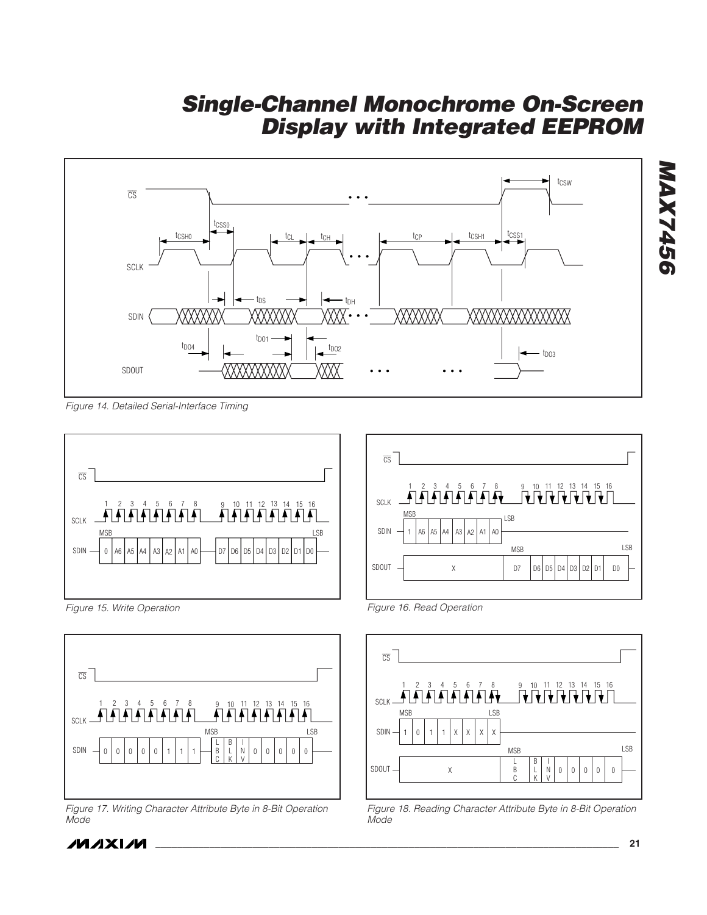

Figure 14. Detailed Serial-Interface Timing



Figure 15. Write Operation



Figure 17. Writing Character Attribute Byte in 8-Bit Operation Mode





Figure 16. Read Operation

**\_\_\_\_\_\_\_\_\_\_\_\_\_\_\_\_\_\_\_\_\_\_\_\_\_\_\_\_\_\_\_\_\_\_\_\_\_\_\_\_\_\_\_\_\_\_\_\_\_\_\_\_\_\_\_\_\_\_\_\_\_\_\_\_\_\_\_\_\_\_\_\_\_\_\_\_\_\_\_\_\_\_\_\_\_\_ 21**



Figure 18. Reading Character Attribute Byte in 8-Bit Operation Mode

**MAX7456**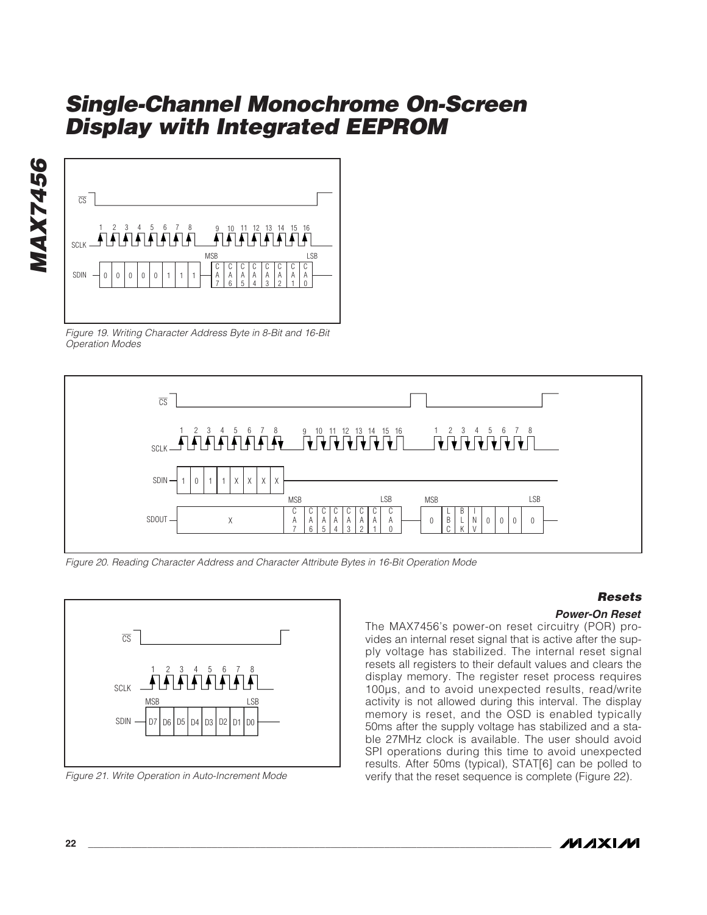

Figure 19. Writing Character Address Byte in 8-Bit and 16-Bit Operation Modes



Figure 20. Reading Character Address and Character Attribute Bytes in 16-Bit Operation Mode



Figure 21. Write Operation in Auto-Increment Mode

### **Resets**

#### **Power-On Reset**

The MAX7456's power-on reset circuitry (POR) provides an internal reset signal that is active after the supply voltage has stabilized. The internal reset signal resets all registers to their default values and clears the display memory. The register reset process requires 100µs, and to avoid unexpected results, read/write activity is not allowed during this interval. The display memory is reset, and the OSD is enabled typically 50ms after the supply voltage has stabilized and a stable 27MHz clock is available. The user should avoid SPI operations during this time to avoid unexpected results. After 50ms (typical), STAT[6] can be polled to verify that the reset sequence is complete (Figure 22).



**MAX7456**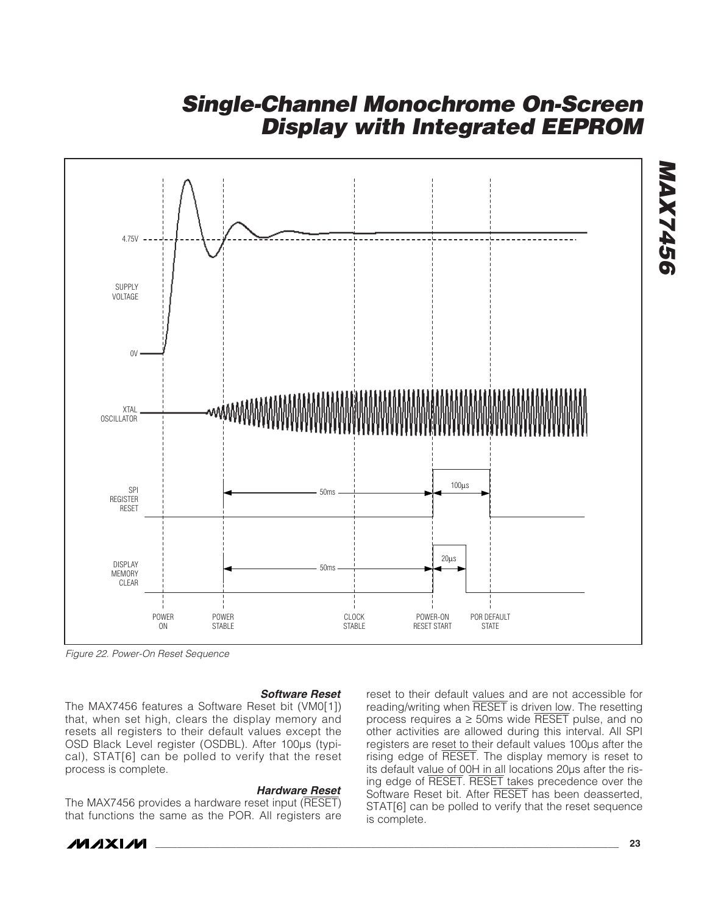

Figure 22. Power-On Reset Sequence

#### **Software Reset**

The MAX7456 features a Software Reset bit (VM0[1]) that, when set high, clears the display memory and resets all registers to their default values except the OSD Black Level register (OSDBL). After 100µs (typical), STAT[6] can be polled to verify that the reset process is complete.

#### **Hardware Reset**

The MAX7456 provides a hardware reset input (RESET) that functions the same as the POR. All registers are

reset to their default values and are not accessible for reading/writing when RESET is driven low. The resetting process requires  $a \ge 50$ ms wide RESET pulse, and no other activities are allowed during this interval. All SPI registers are reset to their default values 100µs after the rising edge of RESET. The display memory is reset to its default value of 00H in all locations 20µs after the rising edge of RESET. RESET takes precedence over the Software Reset bit. After RESET has been deasserted, STAT[6] can be polled to verify that the reset sequence is complete.

**MAX7456**

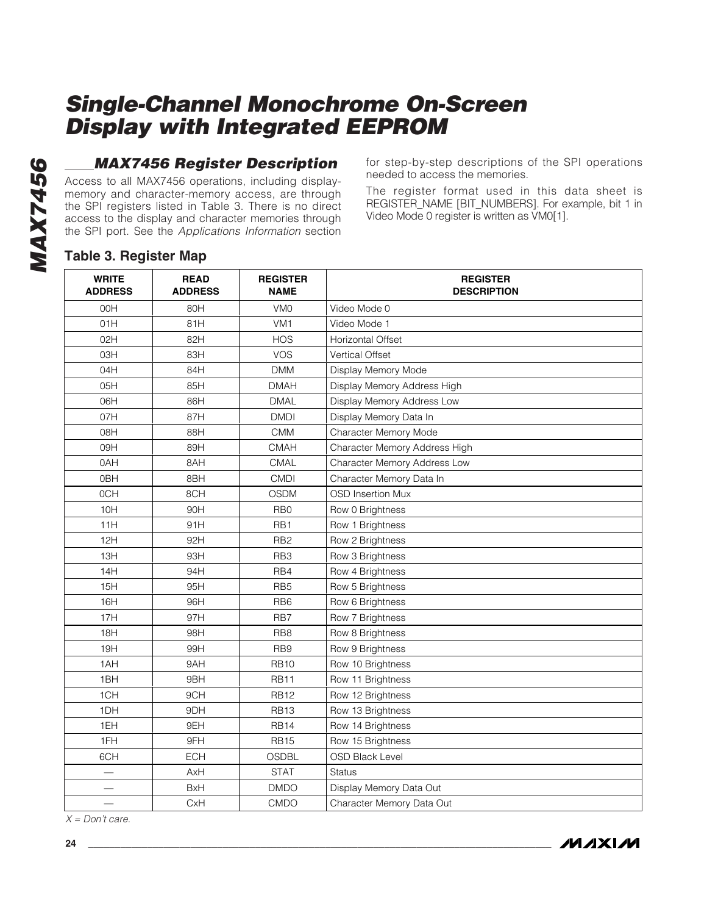### **MAX7456 Register Description**

Access to all MAX7456 operations, including displaymemory and character-memory access, are through the SPI registers listed in Table 3. There is no direct access to the display and character memories through the SPI port. See the Applications Information section for step-by-step descriptions of the SPI operations needed to access the memories.

The register format used in this data sheet is REGISTER\_NAME [BIT\_NUMBERS]. For example, bit 1 in Video Mode 0 register is written as VM0[1].

### **Table 3. Register Map**

| <b>WRITE</b><br><b>ADDRESS</b> | <b>READ</b><br><b>ADDRESS</b> | <b>REGISTER</b><br><b>NAME</b> | <b>REGISTER</b><br><b>DESCRIPTION</b> |
|--------------------------------|-------------------------------|--------------------------------|---------------------------------------|
| 00H                            | 80H                           | VM <sub>0</sub>                | Video Mode 0                          |
| 01H                            | 81H                           | VM <sub>1</sub>                | Video Mode 1                          |
| 02H                            | 82H                           | <b>HOS</b>                     | <b>Horizontal Offset</b>              |
| 03H                            | 83H                           | <b>VOS</b>                     | <b>Vertical Offset</b>                |
| 04H                            | 84H                           | <b>DMM</b>                     | Display Memory Mode                   |
| 05H                            | 85H                           | <b>DMAH</b>                    | Display Memory Address High           |
| 06H                            | 86H                           | <b>DMAL</b>                    | Display Memory Address Low            |
| 07H                            | 87H                           | <b>DMDI</b>                    | Display Memory Data In                |
| 08H                            | 88H                           | <b>CMM</b>                     | Character Memory Mode                 |
| 09H                            | 89H                           | <b>CMAH</b>                    | Character Memory Address High         |
| 0AH                            | 8AH                           | CMAL                           | Character Memory Address Low          |
| 0BH                            | 8BH                           | <b>CMDI</b>                    | Character Memory Data In              |
| 0CH                            | 8CH                           | <b>OSDM</b>                    | <b>OSD Insertion Mux</b>              |
| 10H                            | 90H                           | RB <sub>0</sub>                | Row 0 Brightness                      |
| 11H                            | 91H                           | RB <sub>1</sub>                | Row 1 Brightness                      |
| 12H                            | 92H                           | RB <sub>2</sub>                | Row 2 Brightness                      |
| 13H                            | 93H                           | RB <sub>3</sub>                | Row 3 Brightness                      |
| 14H                            | 94H                           | RB4                            | Row 4 Brightness                      |
| 15H                            | 95H                           | RB <sub>5</sub>                | Row 5 Brightness                      |
| 16H                            | 96H                           | RB <sub>6</sub>                | Row 6 Brightness                      |
| 17H                            | 97H                           | RB7                            | Row 7 Brightness                      |
| 18H                            | 98H                           | RB <sub>8</sub>                | Row 8 Brightness                      |
| 19H                            | 99H                           | RB <sub>9</sub>                | Row 9 Brightness                      |
| 1AH                            | 9AH                           | <b>RB10</b>                    | Row 10 Brightness                     |
| 1BH                            | 9BH                           | <b>RB11</b>                    | Row 11 Brightness                     |
| 1CH                            | 9CH                           | <b>RB12</b>                    | Row 12 Brightness                     |
| 1DH                            | 9DH                           | <b>RB13</b>                    | Row 13 Brightness                     |
| 1EH                            | 9EH                           | <b>RB14</b>                    | Row 14 Brightness                     |
| 1FH                            | 9FH                           | <b>RB15</b>                    | Row 15 Brightness                     |
| 6CH                            | <b>ECH</b>                    | <b>OSDBL</b>                   | <b>OSD Black Level</b>                |
|                                | AxH                           | <b>STAT</b>                    | Status                                |
|                                | <b>BxH</b>                    | <b>DMDO</b>                    | Display Memory Data Out               |
|                                | CxH                           | <b>CMDO</b>                    | Character Memory Data Out             |

 $X = Don't care.$ 

**MAXM**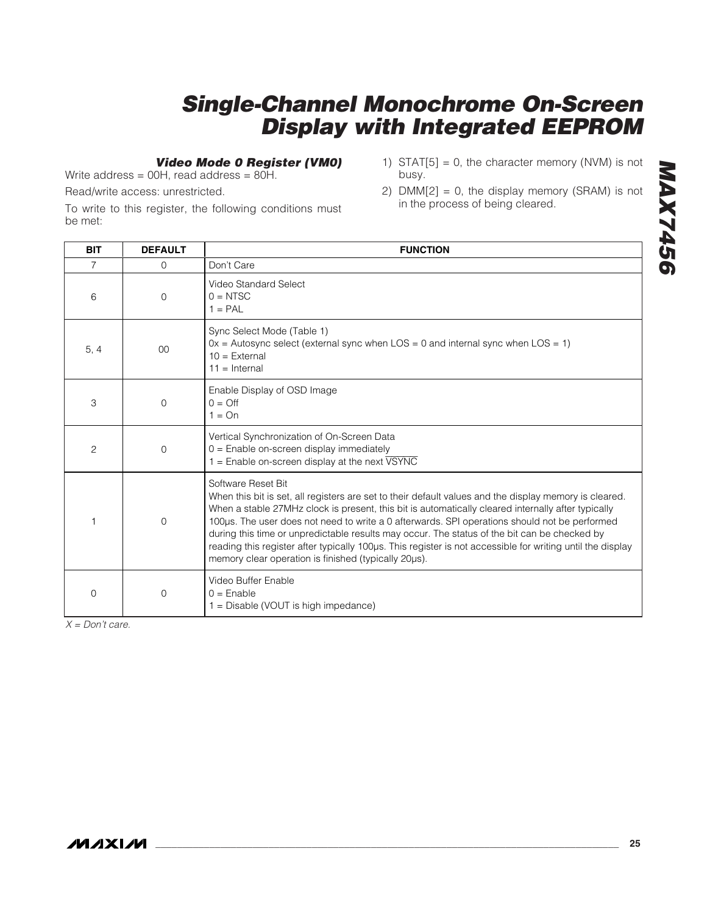### **Video Mode 0 Register (VM0)**

Write address = 00H, read address = 80H.

Read/write access: unrestricted.

To write to this register, the following conditions must be met:

- 1) STAT $[5] = 0$ , the character memory (NVM) is not busy.
- 2)  $DMM[2] = 0$ , the display memory (SRAM) is not in the process of being cleared.

| <b>BIT</b>     | <b>DEFAULT</b> | <b>FUNCTION</b>                                                                                                                                                                                                                                                                                                                                                                                                                                                                                                                                                                                           |  |
|----------------|----------------|-----------------------------------------------------------------------------------------------------------------------------------------------------------------------------------------------------------------------------------------------------------------------------------------------------------------------------------------------------------------------------------------------------------------------------------------------------------------------------------------------------------------------------------------------------------------------------------------------------------|--|
| 7              | $\Omega$       | Don't Care                                                                                                                                                                                                                                                                                                                                                                                                                                                                                                                                                                                                |  |
| 6              | $\Omega$       | Video Standard Select<br>$0 = NTSC$<br>$1 = PAL$                                                                                                                                                                                                                                                                                                                                                                                                                                                                                                                                                          |  |
| 5, 4           | 0 <sup>0</sup> | Sync Select Mode (Table 1)<br>$0x =$ Autosync select (external sync when LOS = 0 and internal sync when LOS = 1)<br>$10 =$ External<br>$11 =$ Internal                                                                                                                                                                                                                                                                                                                                                                                                                                                    |  |
| 3              | $\Omega$       | Enable Display of OSD Image<br>$0 = \bigcirc$<br>$1 = On$                                                                                                                                                                                                                                                                                                                                                                                                                                                                                                                                                 |  |
| $\overline{c}$ | $\mathbf 0$    | Vertical Synchronization of On-Screen Data<br>$0 =$ Enable on-screen display immediately<br>$1 =$ Enable on-screen display at the next $\overline{VSYNC}$                                                                                                                                                                                                                                                                                                                                                                                                                                                 |  |
|                | $\Omega$       | Software Reset Bit<br>When this bit is set, all registers are set to their default values and the display memory is cleared.<br>When a stable 27MHz clock is present, this bit is automatically cleared internally after typically<br>100µs. The user does not need to write a 0 afterwards. SPI operations should not be performed<br>during this time or unpredictable results may occur. The status of the bit can be checked by<br>reading this register after typically 100µs. This register is not accessible for writing until the display<br>memory clear operation is finished (typically 20µs). |  |
| $\Omega$       | $\Omega$       | Video Buffer Enable<br>$0 =$ Enable<br>$1 =$ Disable (VOUT is high impedance)                                                                                                                                                                                                                                                                                                                                                                                                                                                                                                                             |  |

 $X = Don't care.$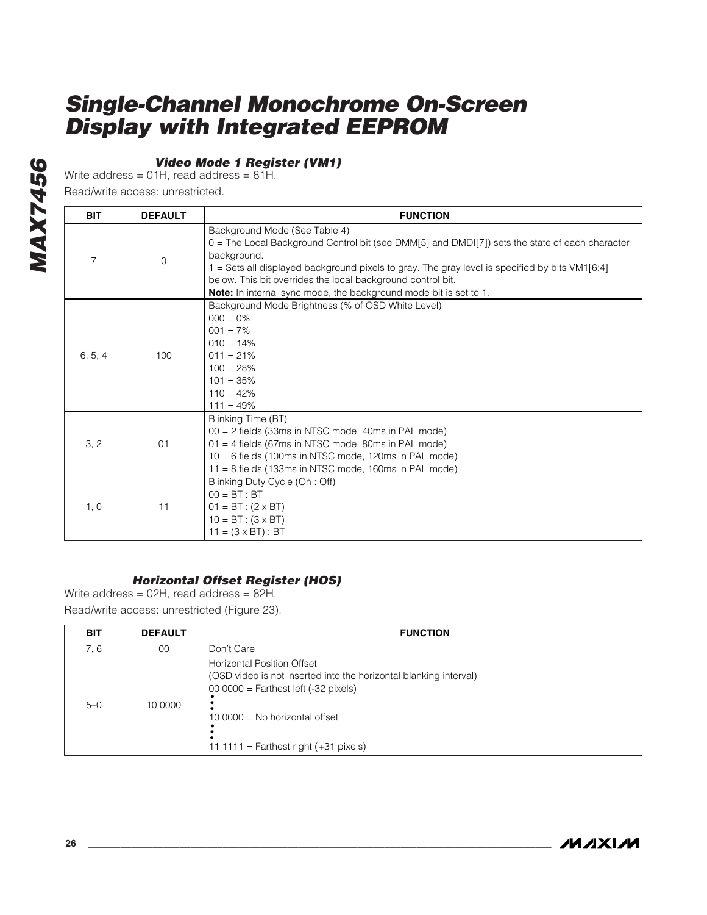### **Video Mode 1 Register (VM1)**

Write address =  $01H$ , read address =  $81H$ .

Read/write access: unrestricted.

| <b>BIT</b>     | <b>DEFAULT</b> | <b>FUNCTION</b>                                                                                                                                                                                                                                                                                                                                                                             |  |
|----------------|----------------|---------------------------------------------------------------------------------------------------------------------------------------------------------------------------------------------------------------------------------------------------------------------------------------------------------------------------------------------------------------------------------------------|--|
| $\overline{7}$ | $\overline{0}$ | Background Mode (See Table 4)<br>0 = The Local Background Control bit (see DMM[5] and DMDI[7]) sets the state of each character<br>background.<br>1 = Sets all displayed background pixels to gray. The gray level is specified by bits VM1[6:4]<br>below. This bit overrides the local background control bit.<br><b>Note:</b> In internal sync mode, the background mode bit is set to 1. |  |
| 6, 5, 4        | 100            | Background Mode Brightness (% of OSD White Level)<br>$000 = 0\%$<br>$001 = 7\%$<br>$010 = 14\%$<br>$011 = 21%$<br>$100 = 28%$<br>$101 = 35%$<br>$110 = 42%$<br>$111 = 49%$                                                                                                                                                                                                                  |  |
| 3, 2           | 01             | Blinking Time (BT)<br>00 = 2 fields (33ms in NTSC mode, 40ms in PAL mode)<br>$01 = 4$ fields (67ms in NTSC mode, 80ms in PAL mode)<br>$10 = 6$ fields (100ms in NTSC mode, 120ms in PAL mode)<br>$11 = 8$ fields (133ms in NTSC mode, 160ms in PAL mode)                                                                                                                                    |  |
| 1, 0           | 11             | Blinking Duty Cycle (On : Off)<br>$00 = BT : BT$<br>$01 = BT : (2 \times BT)$<br>$10 = BT : (3 \times BT)$<br>$11 = (3 \times BT) : BT$                                                                                                                                                                                                                                                     |  |

### **Horizontal Offset Register (HOS)**

Write address =  $02H$ , read address =  $82H$ .

Read/write access: unrestricted (Figure 23).

| <b>BIT</b> | <b>DEFAULT</b> | <b>FUNCTION</b>                                                                                                                                                                                                               |  |
|------------|----------------|-------------------------------------------------------------------------------------------------------------------------------------------------------------------------------------------------------------------------------|--|
| 7.6        | 00             | Don't Care                                                                                                                                                                                                                    |  |
| $5-0$      | 10 0000        | <b>Horizontal Position Offset</b><br>(OSD video is not inserted into the horizontal blanking interval)<br>$00 0000 =$ Farthest left (-32 pixels)<br>10 0000 = No horizontal offset<br>11 1111 = Farthest right $(+31$ pixels) |  |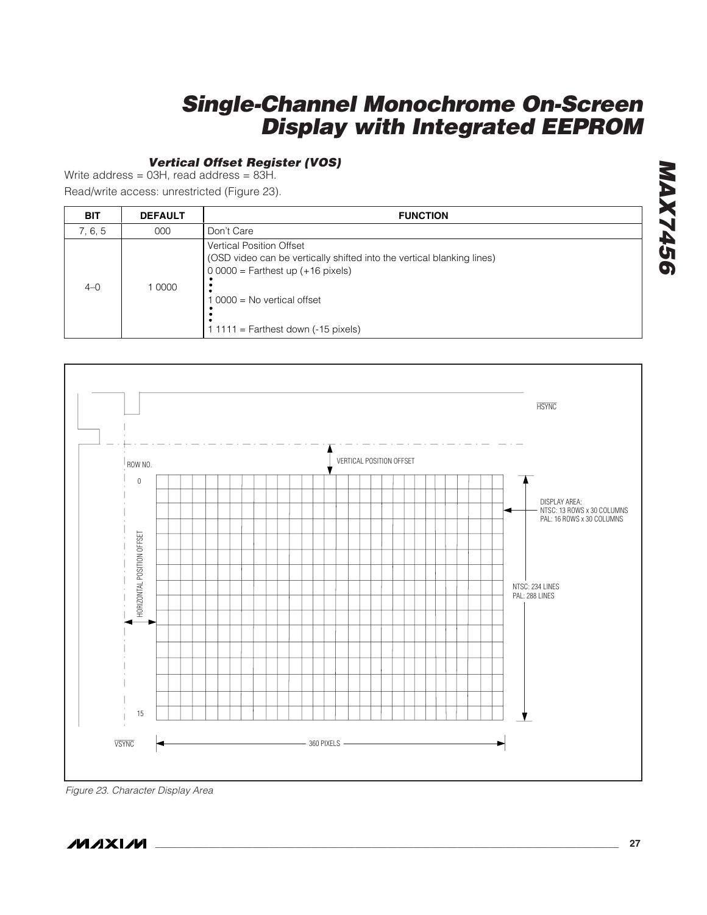### **Vertical Offset Register (VOS)**

Write address = 03H, read address = 83H.

Read/write access: unrestricted (Figure 23).

| <b>BIT</b> | <b>DEFAULT</b> | <b>FUNCTION</b>                                                                                                                                                                                                        |  |
|------------|----------------|------------------------------------------------------------------------------------------------------------------------------------------------------------------------------------------------------------------------|--|
| 7, 6, 5    | 000            | Don't Care                                                                                                                                                                                                             |  |
| $4 - 0$    | 10000          | <b>Vertical Position Offset</b><br>(OSD video can be vertically shifted into the vertical blanking lines)<br>$00000 =$ Farthest up $(+16$ pixels)<br>0000 = No vertical offset<br>$11111$ = Farthest down (-15 pixels) |  |



Figure 23. Character Display Area

**MAXIM**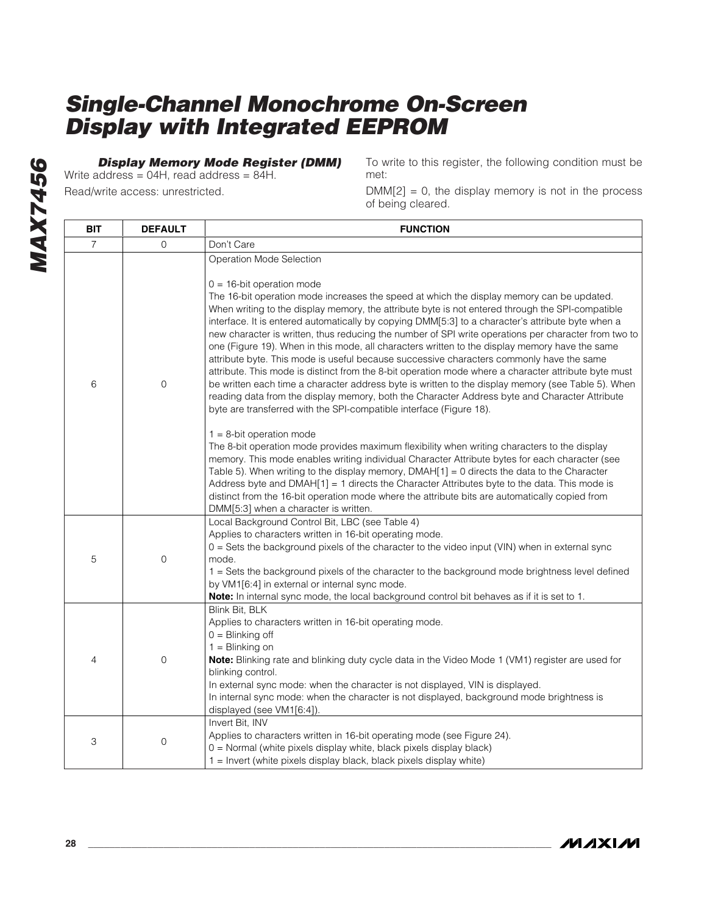**Display Memory Mode Register (DMM)**

Write address = 04H, read address = 84H. Read/write access: unrestricted.

To write to this register, the following condition must be met:

 $DMM[2] = 0$ , the display memory is not in the process of being cleared.

| <b>BIT</b>     | <b>DEFAULT</b> | <b>FUNCTION</b>                                                                                                                                                                                                                                                                                                                                                                                                                                                                                                                                                                                                                                                                                                                                                                                                                                                                                                                                                                                                                                                                                                                                                                                                                                                                                                                                                                                                                                                                                                                                                                                                                                                                               |  |
|----------------|----------------|-----------------------------------------------------------------------------------------------------------------------------------------------------------------------------------------------------------------------------------------------------------------------------------------------------------------------------------------------------------------------------------------------------------------------------------------------------------------------------------------------------------------------------------------------------------------------------------------------------------------------------------------------------------------------------------------------------------------------------------------------------------------------------------------------------------------------------------------------------------------------------------------------------------------------------------------------------------------------------------------------------------------------------------------------------------------------------------------------------------------------------------------------------------------------------------------------------------------------------------------------------------------------------------------------------------------------------------------------------------------------------------------------------------------------------------------------------------------------------------------------------------------------------------------------------------------------------------------------------------------------------------------------------------------------------------------------|--|
| $\overline{7}$ | $\Omega$       | Don't Care                                                                                                                                                                                                                                                                                                                                                                                                                                                                                                                                                                                                                                                                                                                                                                                                                                                                                                                                                                                                                                                                                                                                                                                                                                                                                                                                                                                                                                                                                                                                                                                                                                                                                    |  |
| 6              | $\overline{0}$ | Operation Mode Selection<br>$0 = 16$ -bit operation mode<br>The 16-bit operation mode increases the speed at which the display memory can be updated.<br>When writing to the display memory, the attribute byte is not entered through the SPI-compatible<br>interface. It is entered automatically by copying DMM[5:3] to a character's attribute byte when a<br>new character is written, thus reducing the number of SPI write operations per character from two to<br>one (Figure 19). When in this mode, all characters written to the display memory have the same<br>attribute byte. This mode is useful because successive characters commonly have the same<br>attribute. This mode is distinct from the 8-bit operation mode where a character attribute byte must<br>be written each time a character address byte is written to the display memory (see Table 5). When<br>reading data from the display memory, both the Character Address byte and Character Attribute<br>byte are transferred with the SPI-compatible interface (Figure 18).<br>$1 = 8$ -bit operation mode<br>The 8-bit operation mode provides maximum flexibility when writing characters to the display<br>memory. This mode enables writing individual Character Attribute bytes for each character (see<br>Table 5). When writing to the display memory, $DMAH[1] = 0$ directs the data to the Character<br>Address byte and DMAH $[1] = 1$ directs the Character Attributes byte to the data. This mode is<br>distinct from the 16-bit operation mode where the attribute bits are automatically copied from<br>DMM[5:3] when a character is written.<br>Local Background Control Bit, LBC (see Table 4) |  |
| 5              | $\mathbf 0$    | Applies to characters written in 16-bit operating mode.<br>0 = Sets the background pixels of the character to the video input (VIN) when in external sync<br>mode.<br>1 = Sets the background pixels of the character to the background mode brightness level defined<br>by VM1[6:4] in external or internal sync mode.<br>Note: In internal sync mode, the local background control bit behaves as if it is set to 1.                                                                                                                                                                                                                                                                                                                                                                                                                                                                                                                                                                                                                                                                                                                                                                                                                                                                                                                                                                                                                                                                                                                                                                                                                                                                        |  |
| 4              | $\overline{0}$ | Blink Bit, BLK<br>Applies to characters written in 16-bit operating mode.<br>$0 = \text{Blinking off}$<br>$1 = \text{Blinking on}$<br><b>Note:</b> Blinking rate and blinking duty cycle data in the Video Mode 1 (VM1) register are used for<br>blinking control.<br>In external sync mode: when the character is not displayed, VIN is displayed.<br>In internal sync mode: when the character is not displayed, background mode brightness is<br>displayed (see VM1[6:4]).                                                                                                                                                                                                                                                                                                                                                                                                                                                                                                                                                                                                                                                                                                                                                                                                                                                                                                                                                                                                                                                                                                                                                                                                                 |  |
| 3              | 0              | Invert Bit, INV<br>Applies to characters written in 16-bit operating mode (see Figure 24).<br>0 = Normal (white pixels display white, black pixels display black)<br>1 = Invert (white pixels display black, black pixels display white)                                                                                                                                                                                                                                                                                                                                                                                                                                                                                                                                                                                                                                                                                                                                                                                                                                                                                                                                                                                                                                                                                                                                                                                                                                                                                                                                                                                                                                                      |  |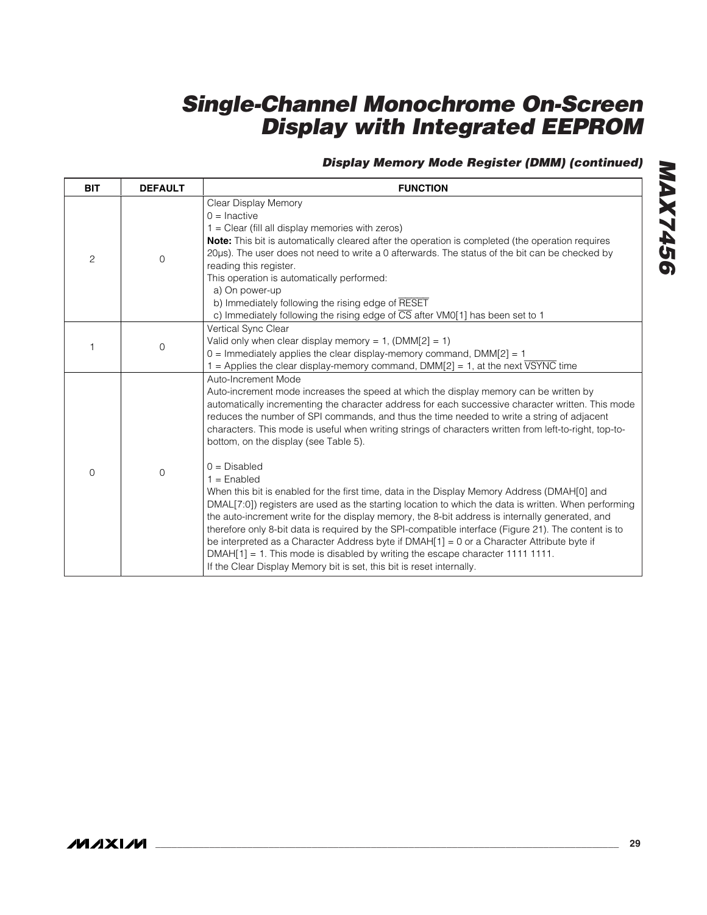### **Display Memory Mode Register (DMM) (continued)**

| <b>BIT</b> | <b>DEFAULT</b> | <b>FUNCTION</b>                                                                                                                                                                                                                                                                                                                                                                                                                                                                                                                                                                                                                                                                                                                                                                                                                                                                                                                                                                                                                                                                                              |  |
|------------|----------------|--------------------------------------------------------------------------------------------------------------------------------------------------------------------------------------------------------------------------------------------------------------------------------------------------------------------------------------------------------------------------------------------------------------------------------------------------------------------------------------------------------------------------------------------------------------------------------------------------------------------------------------------------------------------------------------------------------------------------------------------------------------------------------------------------------------------------------------------------------------------------------------------------------------------------------------------------------------------------------------------------------------------------------------------------------------------------------------------------------------|--|
| 2          | 0              | Clear Display Memory<br>$0 =$ Inactive<br>1 = Clear (fill all display memories with zeros)<br>Note: This bit is automatically cleared after the operation is completed (the operation requires<br>20µs). The user does not need to write a 0 afterwards. The status of the bit can be checked by<br>reading this register.<br>This operation is automatically performed:<br>a) On power-up<br>b) Immediately following the rising edge of RESET<br>c) Immediately following the rising edge of $\overline{CS}$ after VM0[1] has been set to 1                                                                                                                                                                                                                                                                                                                                                                                                                                                                                                                                                                |  |
| 1          | $\overline{0}$ | Vertical Sync Clear<br>Valid only when clear display memory = 1, $(DMM[2] = 1)$<br>$0 =$ Immediately applies the clear display-memory command, $DMM[2] = 1$<br>1 = Applies the clear display-memory command, $DMM[2] = 1$ , at the next $\overline{VSYNC}$ time                                                                                                                                                                                                                                                                                                                                                                                                                                                                                                                                                                                                                                                                                                                                                                                                                                              |  |
| $\Omega$   | $\Omega$       | Auto-Increment Mode<br>Auto-increment mode increases the speed at which the display memory can be written by<br>automatically incrementing the character address for each successive character written. This mode<br>reduces the number of SPI commands, and thus the time needed to write a string of adjacent<br>characters. This mode is useful when writing strings of characters written from left-to-right, top-to-<br>bottom, on the display (see Table 5).<br>$0 = Disabled$<br>$1 =$ Enabled<br>When this bit is enabled for the first time, data in the Display Memory Address (DMAH[0] and<br>DMAL[7:0]) registers are used as the starting location to which the data is written. When performing<br>the auto-increment write for the display memory, the 8-bit address is internally generated, and<br>therefore only 8-bit data is required by the SPI-compatible interface (Figure 21). The content is to<br>be interpreted as a Character Address byte if $DMAH[1] = 0$ or a Character Attribute byte if<br>$DMAH[1] = 1$ . This mode is disabled by writing the escape character 1111 1111. |  |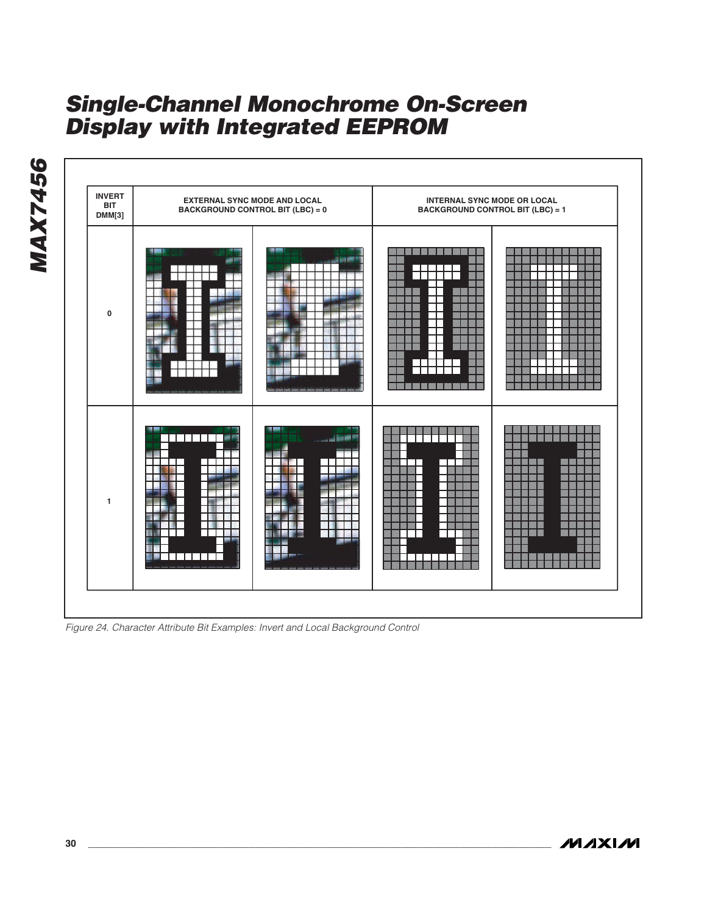

Figure 24. Character Attribute Bit Examples: Invert and Local Background Control

**MAXIM** 

**MAX7456**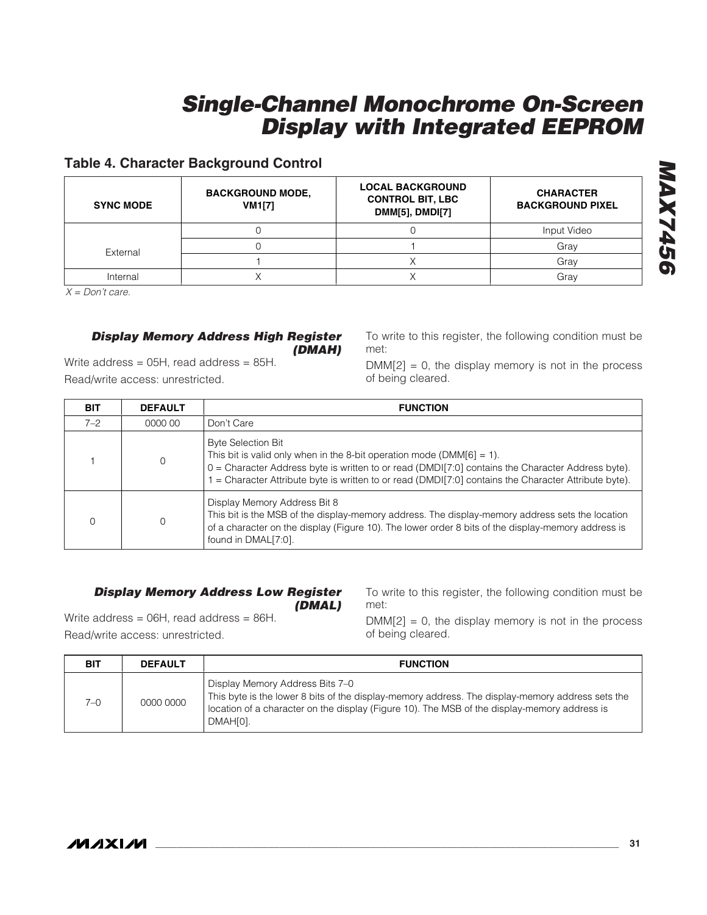### **Table 4. Character Background Control**

| <b>SYNC MODE</b> | <b>BACKGROUND MODE,</b><br><b>VM1[7]</b> | <b>LOCAL BACKGROUND</b><br><b>CONTROL BIT, LBC</b><br><b>DMM[5], DMDI[7]</b> | <b>CHARACTER</b><br><b>BACKGROUND PIXEL</b> |
|------------------|------------------------------------------|------------------------------------------------------------------------------|---------------------------------------------|
|                  |                                          |                                                                              | Input Video                                 |
| External         |                                          |                                                                              | Gray                                        |
|                  |                                          |                                                                              | Grav                                        |
| Internal         |                                          |                                                                              | Grav                                        |

 $X = Don't care.$ 

#### **Display Memory Address High Register (DMAH)**

Write address = 05H, read address = 85H. Read/write access: unrestricted.

To write to this register, the following condition must be met:

 $DMM[2] = 0$ , the display memory is not in the process of being cleared.

| <b>BIT</b> | <b>DEFAULT</b> | <b>FUNCTION</b>                                                                                                                                                                                                                                                                                                    |  |
|------------|----------------|--------------------------------------------------------------------------------------------------------------------------------------------------------------------------------------------------------------------------------------------------------------------------------------------------------------------|--|
| $7 - 2$    | 0000 00        | Don't Care                                                                                                                                                                                                                                                                                                         |  |
|            | $\mathbf 0$    | <b>Byte Selection Bit</b><br>This bit is valid only when in the 8-bit operation mode (DMM $[6] = 1$ ).<br>0 = Character Address byte is written to or read (DMDI[7:0] contains the Character Address byte).<br>= Character Attribute byte is written to or read (DMDI[7:0] contains the Character Attribute byte). |  |
|            |                | Display Memory Address Bit 8<br>This bit is the MSB of the display-memory address. The display-memory address sets the location<br>of a character on the display (Figure 10). The lower order 8 bits of the display-memory address is<br>found in DMAL[7:0].                                                       |  |

#### **Display Memory Address Low Register (DMAL)**

Write address = 06H, read address = 86H. Read/write access: unrestricted.

To write to this register, the following condition must be met:

 $DMM[2] = 0$ , the display memory is not in the process of being cleared.

| <b>BIT</b> | <b>DEFAULT</b> | <b>FUNCTION</b>                                                                                                                                                                                                                                 |
|------------|----------------|-------------------------------------------------------------------------------------------------------------------------------------------------------------------------------------------------------------------------------------------------|
| 7–0        | 0000 0000      | Display Memory Address Bits 7-0<br>This byte is the lower 8 bits of the display-memory address. The display-memory address sets the<br>location of a character on the display (Figure 10). The MSB of the display-memory address is<br>DMAH[0]. |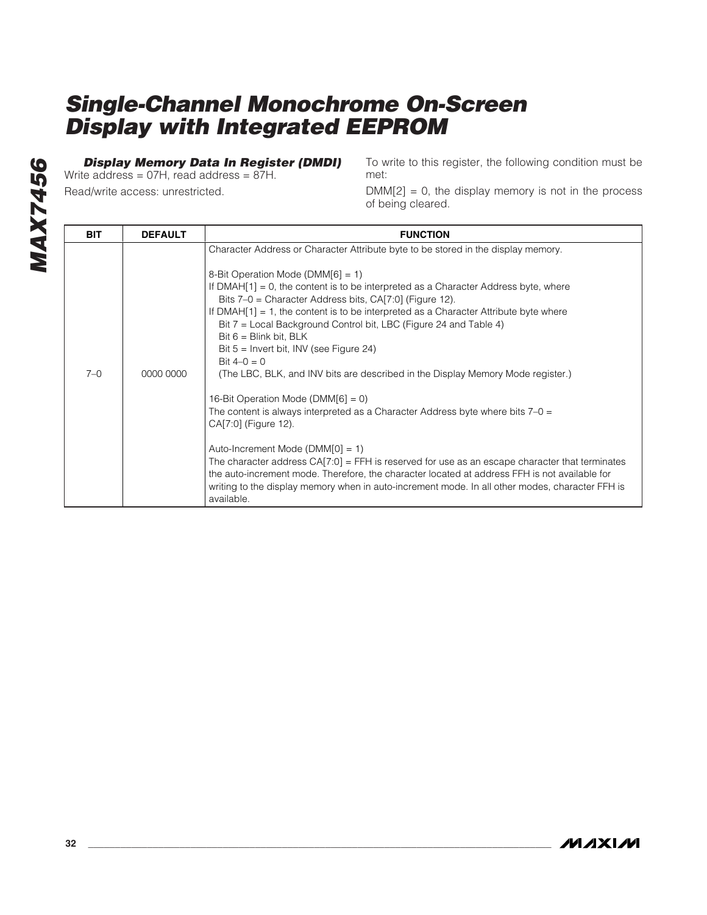### **Display Memory Data In Register (DMDI)**

Write address = 07H, read address = 87H. Read/write access: unrestricted.

To write to this register, the following condition must be met:

 $DMM[2] = 0$ , the display memory is not in the process of being cleared.

| <b>BIT</b> | <b>DEFAULT</b> | <b>FUNCTION</b>                                                                                                                                                                                                                                                                                                                                                                                                                                                                                                                                                                                                                                                                                                                                                                                                                                                                                                                                                                                                                                                                                                                                |
|------------|----------------|------------------------------------------------------------------------------------------------------------------------------------------------------------------------------------------------------------------------------------------------------------------------------------------------------------------------------------------------------------------------------------------------------------------------------------------------------------------------------------------------------------------------------------------------------------------------------------------------------------------------------------------------------------------------------------------------------------------------------------------------------------------------------------------------------------------------------------------------------------------------------------------------------------------------------------------------------------------------------------------------------------------------------------------------------------------------------------------------------------------------------------------------|
| $7 - 0$    | 0000 0000      | Character Address or Character Attribute byte to be stored in the display memory.<br>8-Bit Operation Mode (DMM[6] = 1)<br>If DMAH $[1] = 0$ , the content is to be interpreted as a Character Address byte, where<br>Bits 7–0 = Character Address bits, CA[7:0] (Figure 12).<br>If DMAH $[1] = 1$ , the content is to be interpreted as a Character Attribute byte where<br>Bit 7 = Local Background Control bit, LBC (Figure 24 and Table 4)<br>Bit $6 =$ Blink bit, BLK<br>Bit $5 =$ Invert bit, INV (see Figure 24)<br>Bit $4-0=0$<br>(The LBC, BLK, and INV bits are described in the Display Memory Mode register.)<br>16-Bit Operation Mode (DMM $[6] = 0$ )<br>The content is always interpreted as a Character Address byte where bits $7-0 = 1$<br>CA[7:0] (Figure 12).<br>Auto-Increment Mode ( $DMM[0] = 1$ )<br>The character address $CA[7:0] = FFH$ is reserved for use as an escape character that terminates<br>the auto-increment mode. Therefore, the character located at address FFH is not available for<br>writing to the display memory when in auto-increment mode. In all other modes, character FFH is<br>available. |

**MAXIM**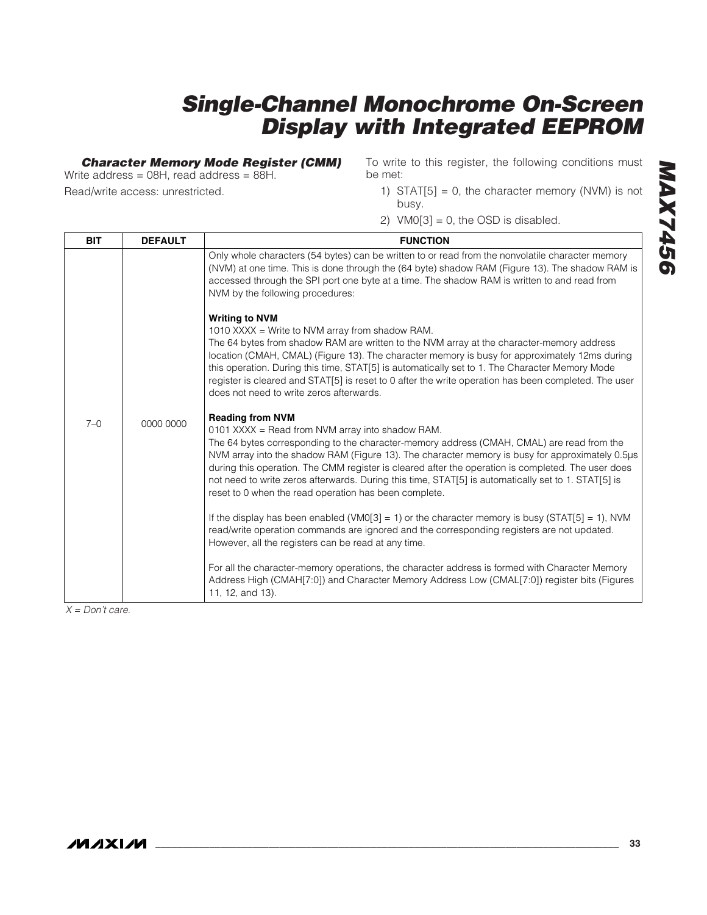### **Character Memory Mode Register (CMM)**

Write address = 08H, read address = 88H. Read/write access: unrestricted.

To write to this register, the following conditions must be met:

- 1) STAT $[5] = 0$ , the character memory (NVM) is not busy.
- 2)  $VMO[3] = 0$ , the OSD is disabled.

| <b>BIT</b> | <b>DEFAULT</b> | <b>FUNCTION</b>                                                                                                                                                                                                                                                                                                                                                                                                                                                                                                                                   |
|------------|----------------|---------------------------------------------------------------------------------------------------------------------------------------------------------------------------------------------------------------------------------------------------------------------------------------------------------------------------------------------------------------------------------------------------------------------------------------------------------------------------------------------------------------------------------------------------|
|            |                | Only whole characters (54 bytes) can be written to or read from the nonvolatile character memory<br>(NVM) at one time. This is done through the (64 byte) shadow RAM (Figure 13). The shadow RAM is<br>accessed through the SPI port one byte at a time. The shadow RAM is written to and read from<br>NVM by the following procedures:                                                                                                                                                                                                           |
|            |                | <b>Writing to NVM</b><br>1010 XXXX = Write to NVM array from shadow RAM.<br>The 64 bytes from shadow RAM are written to the NVM array at the character-memory address<br>location (CMAH, CMAL) (Figure 13). The character memory is busy for approximately 12ms during<br>this operation. During this time, STAT[5] is automatically set to 1. The Character Memory Mode<br>register is cleared and STAT[5] is reset to 0 after the write operation has been completed. The user<br>does not need to write zeros afterwards.                      |
| $7 - 0$    | 0000 0000      | <b>Reading from NVM</b><br>0101 XXXX = Read from NVM array into shadow RAM.<br>The 64 bytes corresponding to the character-memory address (CMAH, CMAL) are read from the<br>NVM array into the shadow RAM (Figure 13). The character memory is busy for approximately 0.5µs<br>during this operation. The CMM register is cleared after the operation is completed. The user does<br>not need to write zeros afterwards. During this time, STAT[5] is automatically set to 1. STAT[5] is<br>reset to 0 when the read operation has been complete. |
|            |                | If the display has been enabled (VM0[3] = 1) or the character memory is busy (STAT[5] = 1), NVM<br>read/write operation commands are ignored and the corresponding registers are not updated.<br>However, all the registers can be read at any time.                                                                                                                                                                                                                                                                                              |
|            |                | For all the character-memory operations, the character address is formed with Character Memory<br>Address High (CMAH[7:0]) and Character Memory Address Low (CMAL[7:0]) register bits (Figures<br>11, 12, and 13).                                                                                                                                                                                                                                                                                                                                |

 $X = Don't care.$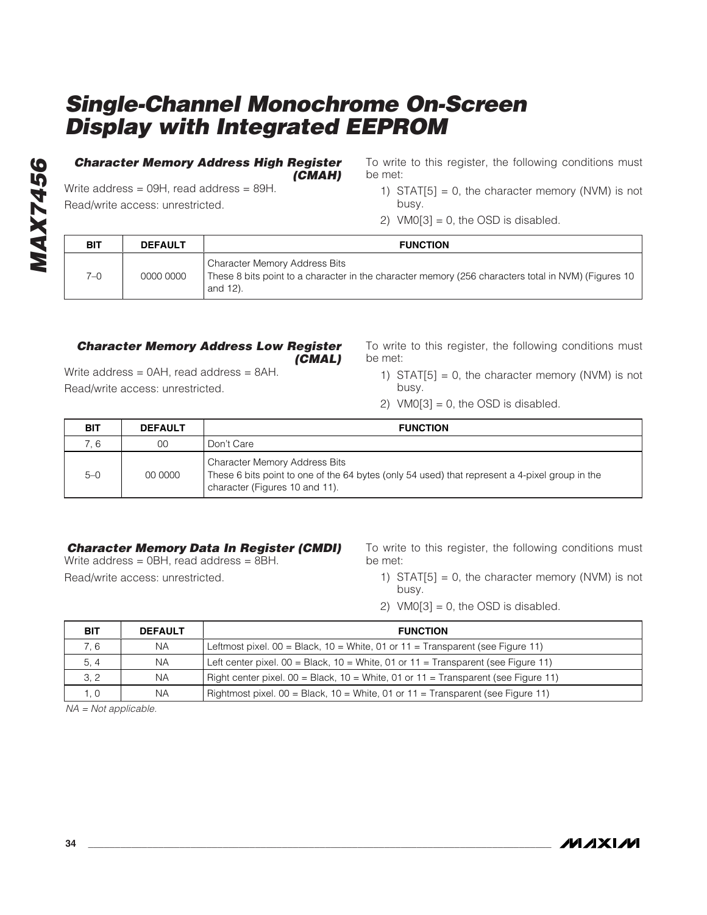#### **Character Memory Address High Register (CMAH)**

Write address = 09H, read address = 89H. Read/write access: unrestricted.

To write to this register, the following conditions must be met:

- 1) STAT $[5] = 0$ , the character memory (NVM) is not busy.
- 2)  $VMO[3] = 0$ , the OSD is disabled.

| BIT | <b>DEFAULT</b> | <b>FUNCTION</b>                                                                                                                                         |
|-----|----------------|---------------------------------------------------------------------------------------------------------------------------------------------------------|
| 7–0 | 0000 0000      | <b>Character Memory Address Bits</b><br>These 8 bits point to a character in the character memory (256 characters total in NVM) (Figures 10<br>and 12). |

#### **Character Memory Address Low Register (CMAL)**

Write address = 0AH, read address = 8AH. Read/write access: unrestricted.

To write to this register, the following conditions must be met:

- 1) STAT $[5] = 0$ , the character memory (NVM) is not busy.
- 2)  $VMO[3] = 0$ , the OSD is disabled.

| <b>BIT</b> | <b>DEFAULT</b> | <b>FUNCTION</b>                                                                                                                                                          |
|------------|----------------|--------------------------------------------------------------------------------------------------------------------------------------------------------------------------|
| 7.6        | 00             | Don't Care                                                                                                                                                               |
| $5-0$      | 00 0000        | <b>Character Memory Address Bits</b><br>These 6 bits point to one of the 64 bytes (only 54 used) that represent a 4-pixel group in the<br>character (Figures 10 and 11). |

### **Character Memory Data In Register (CMDI)**

Write address = 0BH, read address = 8BH. Read/write access: unrestricted.

To write to this register, the following conditions must be met:

- 1) STAT $[5] = 0$ , the character memory (NVM) is not busy.
- 2)  $VM0[3] = 0$ , the OSD is disabled.

| <b>BIT</b> | <b>DEFAULT</b> | <b>FUNCTION</b>                                                                              |  |
|------------|----------------|----------------------------------------------------------------------------------------------|--|
| 7.6        | <b>NA</b>      | Leftmost pixel. $00 = Black$ , $10 = White$ , $01$ or $11 = Transparent$ (see Figure 11)     |  |
| 5, 4       | <b>NA</b>      | Left center pixel. $00 = Black$ , $10 = White$ , $01$ or $11 = Transparent$ (see Figure 11)  |  |
| 3, 2       | <b>NA</b>      | Right center pixel. $00 = Black$ , $10 = White$ , $01$ or $11 = Transparent$ (see Figure 11) |  |
| 1. 0       | <b>NA</b>      | Rightmost pixel. 00 = Black, 10 = White, 01 or 11 = Transparent (see Figure 11)              |  |

NA = Not applicable.

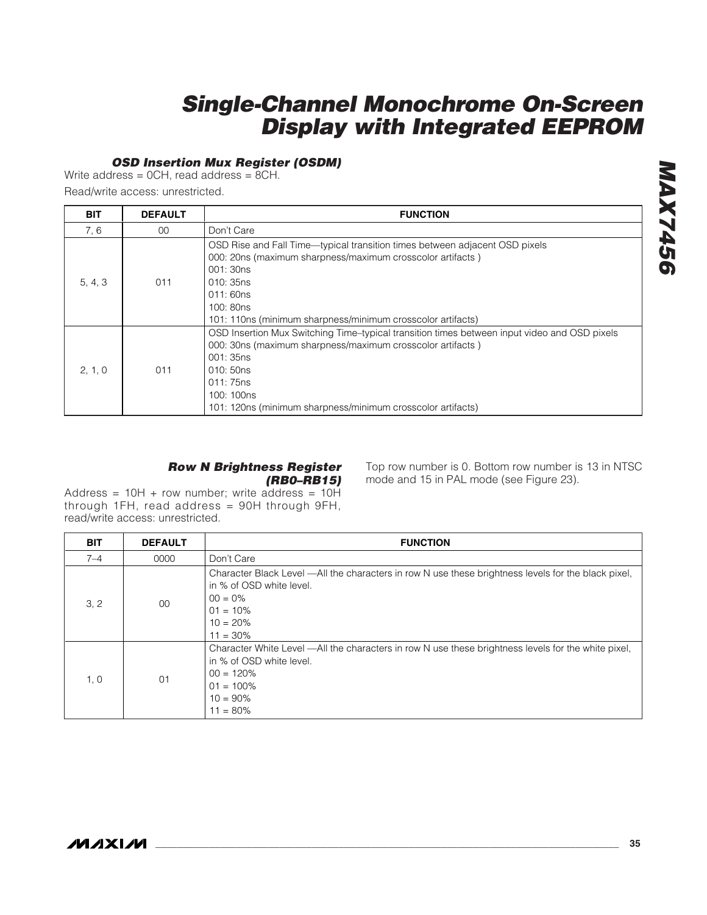### **OSD Insertion Mux Register (OSDM)**

Write address = 0CH, read address = 8CH.

Read/write access: unrestricted.

| <b>BIT</b> | <b>DEFAULT</b> | <b>FUNCTION</b>                                                                                                                                                                                                                                                              |  |  |  |  |
|------------|----------------|------------------------------------------------------------------------------------------------------------------------------------------------------------------------------------------------------------------------------------------------------------------------------|--|--|--|--|
| 7, 6       | $00 \,$        | Don't Care                                                                                                                                                                                                                                                                   |  |  |  |  |
| 5, 4, 3    | 011            | OSD Rise and Fall Time—typical transition times between adjacent OSD pixels<br>000: 20ns (maximum sharpness/maximum crosscolor artifacts)<br>001:30ns<br>010:35ns<br>011:60ns<br>100:80ns<br>101: 110ns (minimum sharpness/minimum crosscolor artifacts)                     |  |  |  |  |
| 2, 1, 0    | 011            | OSD Insertion Mux Switching Time-typical transition times between input video and OSD pixels<br>000: 30ns (maximum sharpness/maximum crosscolor artifacts)<br>001: 35ns<br>010:50ns<br>011:75ns<br>100: 100ns<br>101: 120ns (minimum sharpness/minimum crosscolor artifacts) |  |  |  |  |

#### **Row N Brightness Register (RB0–RB15)**

Top row number is 0. Bottom row number is 13 in NTSC mode and 15 in PAL mode (see Figure 23).

Address =  $10H + row number$ ; write address =  $10H$ through 1FH, read address = 90H through 9FH, read/write access: unrestricted.

| <b>BIT</b> | <b>DEFAULT</b> | <b>FUNCTION</b>                                                                                                                                                                              |  |  |  |  |
|------------|----------------|----------------------------------------------------------------------------------------------------------------------------------------------------------------------------------------------|--|--|--|--|
| $7 - 4$    | 0000           | Don't Care                                                                                                                                                                                   |  |  |  |  |
| 3, 2       | 00             | Character Black Level —All the characters in row N use these brightness levels for the black pixel,<br>in % of OSD white level.<br>$00 = 0\%$<br>$01 = 10\%$<br>$10 = 20%$<br>$11 = 30\%$    |  |  |  |  |
| 1, 0       | 01             | Character White Level —All the characters in row N use these brightness levels for the white pixel,<br>in % of OSD white level.<br>$00 = 120%$<br>$01 = 100\%$<br>$10 = 90\%$<br>$11 = 80\%$ |  |  |  |  |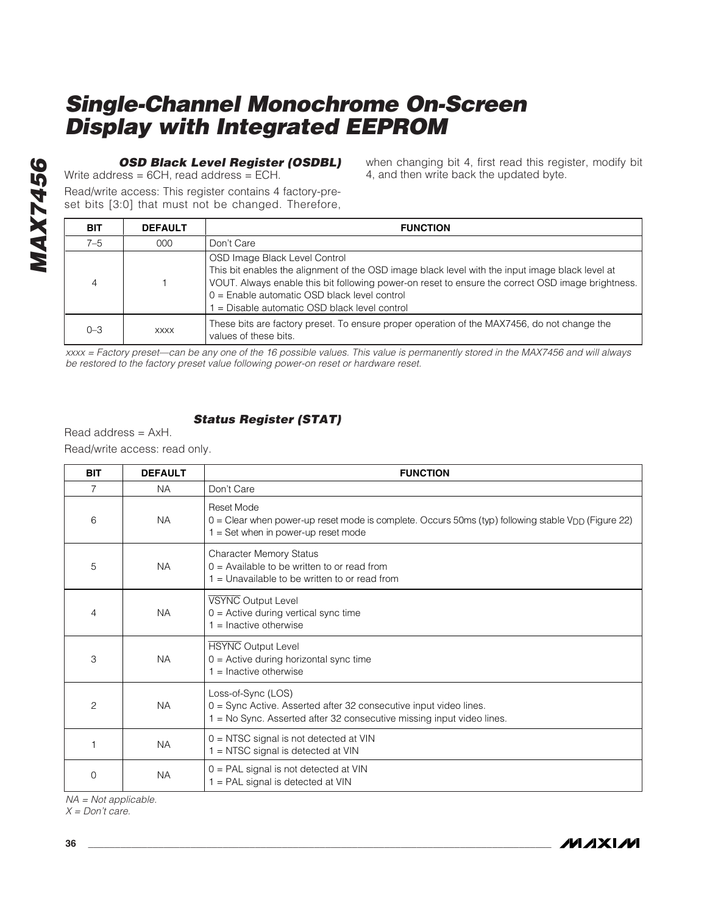### **OSD Black Level Register (OSDBL)**

Write address = 6CH, read address = ECH.

Read/write access: This register contains 4 factory-preset bits [3:0] that must not be changed. Therefore, when changing bit 4, first read this register, modify bit 4, and then write back the updated byte.

/W

| <b>BIT</b> | <b>DEFAULT</b> | <b>FUNCTION</b>                                                                                                                                                                                                                                                                                                                      |
|------------|----------------|--------------------------------------------------------------------------------------------------------------------------------------------------------------------------------------------------------------------------------------------------------------------------------------------------------------------------------------|
| $7 - 5$    | 000            | Don't Care                                                                                                                                                                                                                                                                                                                           |
|            |                | OSD Image Black Level Control<br>This bit enables the alignment of the OSD image black level with the input image black level at<br>VOUT. Always enable this bit following power-on reset to ensure the correct OSD image brightness.<br>0 = Enable automatic OSD black level control<br>= Disable automatic OSD black level control |
| $0 - 3$    | <b>XXXX</b>    | These bits are factory preset. To ensure proper operation of the MAX7456, do not change the<br>values of these bits.                                                                                                                                                                                                                 |

xxxx = Factory preset—can be any one of the 16 possible values. This value is permanently stored in the MAX7456 and will always be restored to the factory preset value following power-on reset or hardware reset.

### **Status Register (STAT)**

| <b>BIT</b>                                  | <b>DEFAULT</b> | <b>FUNCTION</b>                                                                                                                                                  |  |  |
|---------------------------------------------|----------------|------------------------------------------------------------------------------------------------------------------------------------------------------------------|--|--|
| $\overline{7}$                              | <b>NA</b>      | Don't Care                                                                                                                                                       |  |  |
| 6                                           | <b>NA</b>      | Reset Mode<br>$0 =$ Clear when power-up reset mode is complete. Occurs 50ms (typ) following stable $V_{DD}$ (Figure 22)<br>$1 = Set$ when in power-up reset mode |  |  |
| 5                                           | <b>NA</b>      | <b>Character Memory Status</b><br>$0 =$ Available to be written to or read from<br>1 = Unavailable to be written to or read from                                 |  |  |
| 4                                           | <b>NA</b>      | VSYNC Output Level<br>$0 =$ Active during vertical sync time<br>$1 =$ Inactive otherwise                                                                         |  |  |
| 3                                           | <b>NA</b>      | <b>HSYNC</b> Output Level<br>$0 =$ Active during horizontal sync time<br>$1 =$ Inactive otherwise                                                                |  |  |
| $\overline{2}$                              | <b>NA</b>      | Loss-of-Sync (LOS)<br>0 = Sync Active. Asserted after 32 consecutive input video lines.<br>1 = No Sync. Asserted after 32 consecutive missing input video lines. |  |  |
| 1                                           | <b>NA</b>      | $0 = NTSC$ signal is not detected at VIN<br>$1 = NTSC$ signal is detected at VIN                                                                                 |  |  |
| 0                                           | <b>NA</b>      | 0 = PAL signal is not detected at VIN<br>1 = PAL signal is detected at VIN                                                                                       |  |  |
| $NA = Not applicable.$<br>$X = Don't care.$ |                |                                                                                                                                                                  |  |  |
| 36                                          |                | /VI /I X I /V                                                                                                                                                    |  |  |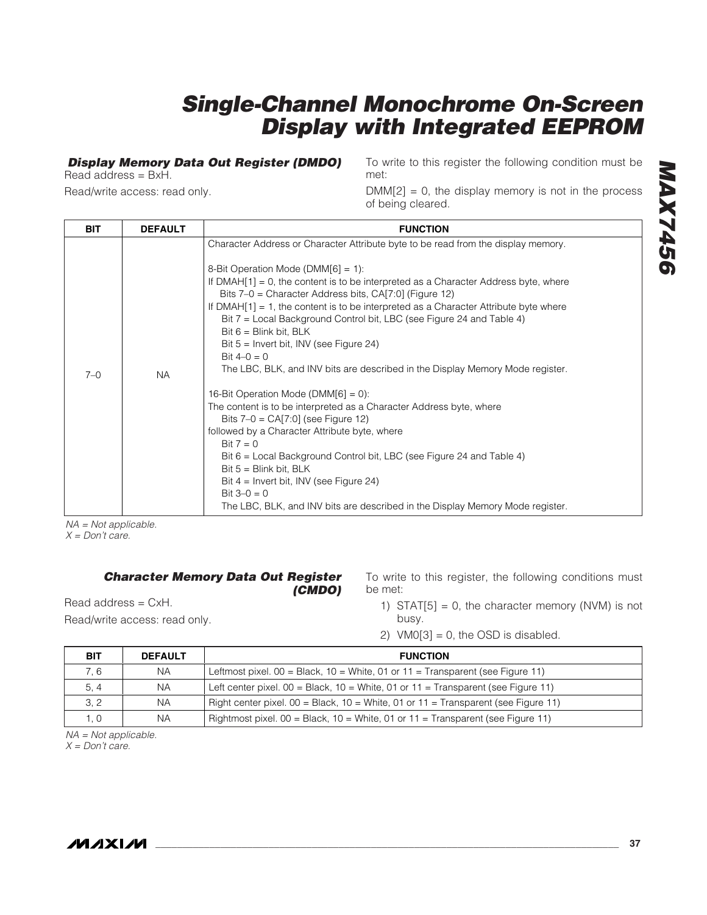### **Display Memory Data Out Register (DMDO)**

Read address = BxH.

Read/write access: read only.

To write to this register the following condition must be met:

 $DMM[2] = 0$ , the display memory is not in the process of being cleared.

| <b>BIT</b> | <b>DEFAULT</b> | <b>FUNCTION</b>                                                                                                                                                                                                                                                                                                                                                                                                                                                                                                                                                                                                                                                                                                                                                                                                                                                                                                                                                                                                              |
|------------|----------------|------------------------------------------------------------------------------------------------------------------------------------------------------------------------------------------------------------------------------------------------------------------------------------------------------------------------------------------------------------------------------------------------------------------------------------------------------------------------------------------------------------------------------------------------------------------------------------------------------------------------------------------------------------------------------------------------------------------------------------------------------------------------------------------------------------------------------------------------------------------------------------------------------------------------------------------------------------------------------------------------------------------------------|
| $7 - 0$    | <b>NA</b>      | Character Address or Character Attribute byte to be read from the display memory.<br>8-Bit Operation Mode (DMM $[6] = 1$ ):<br>If $DMAH[1] = 0$ , the content is to be interpreted as a Character Address byte, where<br>Bits 7-0 = Character Address bits, CA[7:0] (Figure 12)<br>If DMAH $[1] = 1$ , the content is to be interpreted as a Character Attribute byte where<br>Bit 7 = Local Background Control bit, LBC (see Figure 24 and Table 4)<br>Bit $6 =$ Blink bit, BLK<br>Bit $5 =$ Invert bit, INV (see Figure 24)<br>Bit $4-0 = 0$<br>The LBC, BLK, and INV bits are described in the Display Memory Mode register.<br>16-Bit Operation Mode ( $DMM[6] = 0$ ):<br>The content is to be interpreted as a Character Address byte, where<br>Bits $7-0 = CA[7:0]$ (see Figure 12)<br>followed by a Character Attribute byte, where<br>Bit $7 = 0$<br>Bit 6 = Local Background Control bit, LBC (see Figure 24 and Table 4)<br>Bit $5 =$ Blink bit, BLK<br>Bit $4 =$ Invert bit, INV (see Figure 24)<br>Bit $3-0 = 0$ |
|            |                | The LBC, BLK, and INV bits are described in the Display Memory Mode register.                                                                                                                                                                                                                                                                                                                                                                                                                                                                                                                                                                                                                                                                                                                                                                                                                                                                                                                                                |

NA = Not applicable.  $X = Don't care.$ 

#### **Character Memory Data Out Register**

**(CMDO)**

Read address = CxH.

Read/write access: read only.

- To write to this register, the following conditions must be met:
	- 1) STAT $[5] = 0$ , the character memory (NVM) is not busy.
	- 2)  $VM0[3] = 0$ , the OSD is disabled.

| BIT      | <b>DEFAULT</b> | <b>FUNCTION</b>                                                                              |  |  |  |
|----------|----------------|----------------------------------------------------------------------------------------------|--|--|--|
| 7.6      | NА             | Leftmost pixel. $00 = Black$ , $10 = White$ , $01$ or $11 = Transparent$ (see Figure 11)     |  |  |  |
| 5, 4     | NА             | Left center pixel. $00 = Black$ , $10 = White$ , $01$ or $11 = Transparent$ (see Figure 11)  |  |  |  |
| 3, 2     | NА             | Right center pixel. $00 = Black$ , $10 = White$ , $01$ or $11 = Transparent$ (see Figure 11) |  |  |  |
| $\Omega$ | ΝA             | Rightmost pixel. $00 = Black$ , $10 = White$ , $01$ or $11 = Transparent$ (see Figure 11)    |  |  |  |

NA = Not applicable.  $X = Don't care.$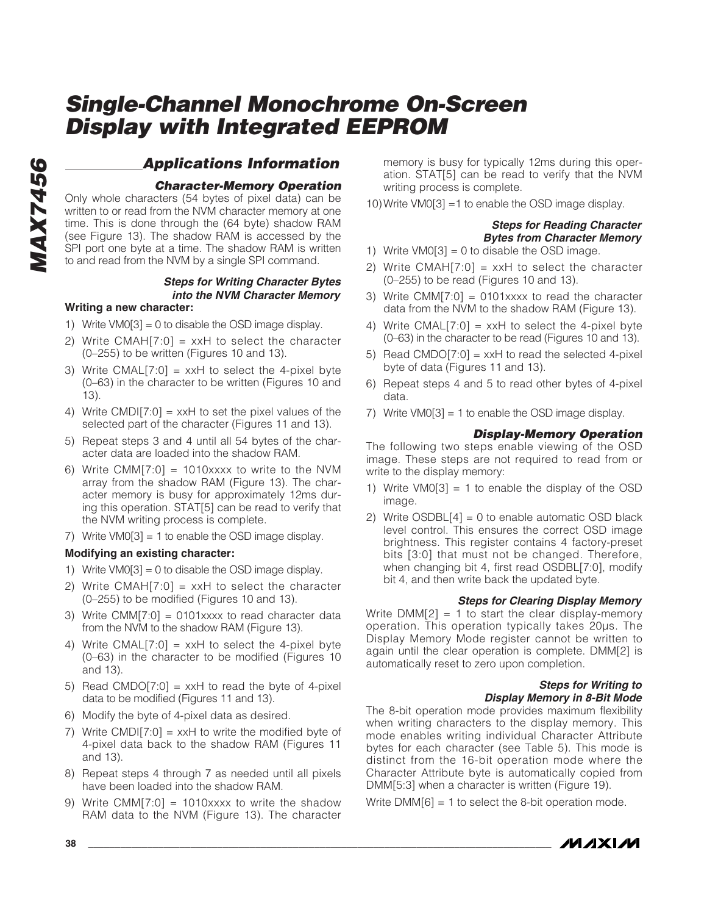### **Applications Information**

#### **Character-Memory Operation**

Only whole characters (54 bytes of pixel data) can be written to or read from the NVM character memory at one time. This is done through the (64 byte) shadow RAM (see Figure 13). The shadow RAM is accessed by the SPI port one byte at a time. The shadow RAM is written to and read from the NVM by a single SPI command.

#### **Steps for Writing Character Bytes into the NVM Character Memory**

#### **Writing a new character:**

- 1) Write VM0[3] = 0 to disable the OSD image display.
- 2) Write CMAH $[7:0]$  = xxH to select the character (0–255) to be written (Figures 10 and 13).
- 3) Write CMAL $[7:0]$  = xxH to select the 4-pixel byte (0–63) in the character to be written (Figures 10 and 13).
- 4) Write CMDI[7:0] =  $x \times H$  to set the pixel values of the selected part of the character (Figures 11 and 13).
- 5) Repeat steps 3 and 4 until all 54 bytes of the character data are loaded into the shadow RAM.
- 6) Write CMM[7:0] = 1010xxxx to write to the NVM array from the shadow RAM (Figure 13). The character memory is busy for approximately 12ms during this operation. STAT[5] can be read to verify that the NVM writing process is complete.
- 7) Write VM0[3] = 1 to enable the OSD image display.

#### **Modifying an existing character:**

- 1) Write  $VMO[3] = 0$  to disable the OSD image display.
- 2) Write CMAH $[7:0]$  = xxH to select the character (0–255) to be modified (Figures 10 and 13).
- 3) Write CMM[7:0] = 0101xxxx to read character data from the NVM to the shadow RAM (Figure 13).
- 4) Write CMAL[7:0] = xxH to select the 4-pixel byte (0–63) in the character to be modified (Figures 10 and 13).
- 5) Read CMDO[7:0] =  $x \times H$  to read the byte of 4-pixel data to be modified (Figures 11 and 13).
- 6) Modify the byte of 4-pixel data as desired.
- 7) Write CMDI[7:0] =  $x \times H$  to write the modified byte of 4-pixel data back to the shadow RAM (Figures 11 and 13).
- 8) Repeat steps 4 through 7 as needed until all pixels have been loaded into the shadow RAM.
- 9) Write CMM $[7:0] = 1010$ xxxx to write the shadow RAM data to the NVM (Figure 13). The character

memory is busy for typically 12ms during this operation. STAT[5] can be read to verify that the NVM writing process is complete.

10)Write VM0[3] =1 to enable the OSD image display.

#### **Steps for Reading Character Bytes from Character Memory**

- 1) Write  $VM0[3] = 0$  to disable the OSD image.
- 2) Write CMAH $[7:0]$  = xxH to select the character (0–255) to be read (Figures 10 and 13).
- 3) Write CMM $[7:0] = 0101$ xxxx to read the character data from the NVM to the shadow RAM (Figure 13).
- 4) Write CMAL[7:0] =  $xxH$  to select the 4-pixel byte (0–63) in the character to be read (Figures 10 and 13).
- 5) Read CMDO[7:0] = xxH to read the selected 4-pixel byte of data (Figures 11 and 13).
- 6) Repeat steps 4 and 5 to read other bytes of 4-pixel data.
- 7) Write VM0[3] = 1 to enable the OSD image display.

#### **Display-Memory Operation**

The following two steps enable viewing of the OSD image. These steps are not required to read from or write to the display memory:

- 1) Write  $VMO[3] = 1$  to enable the display of the OSD image.
- 2) Write  $OSDBL[4] = 0$  to enable automatic OSD black level control. This ensures the correct OSD image brightness. This register contains 4 factory-preset bits [3:0] that must not be changed. Therefore, when changing bit 4, first read OSDBL[7:0], modify bit 4, and then write back the updated byte.

#### **Steps for Clearing Display Memory**

Write  $DMM[2] = 1$  to start the clear display-memory operation. This operation typically takes 20µs. The Display Memory Mode register cannot be written to again until the clear operation is complete. DMM[2] is automatically reset to zero upon completion.

#### **Steps for Writing to Display Memory in 8-Bit Mode**

The 8-bit operation mode provides maximum flexibility when writing characters to the display memory. This mode enables writing individual Character Attribute bytes for each character (see Table 5). This mode is distinct from the 16-bit operation mode where the Character Attribute byte is automatically copied from DMM[5:3] when a character is written (Figure 19).

Write DMM[6] = 1 to select the 8-bit operation mode.

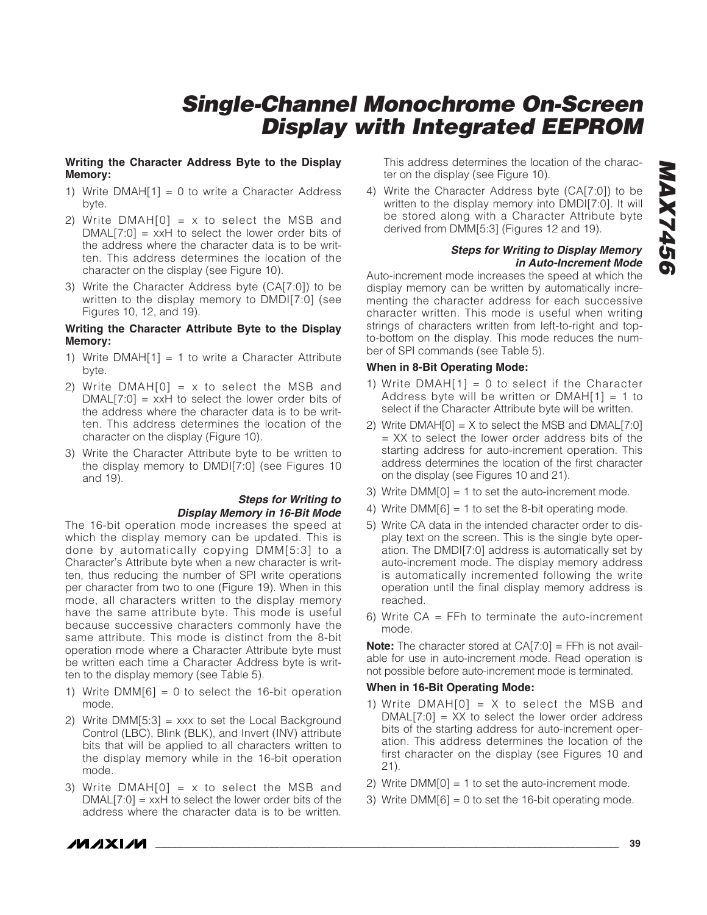#### **Writing the Character Address Byte to the Display Memory:**

- 1) Write  $DMAH[1] = 0$  to write a Character Address byte.
- 2) Write  $DMAH[0] = x$  to select the MSB and  $DMAL[7:0] = xxH$  to select the lower order bits of the address where the character data is to be written. This address determines the location of the character on the display (see Figure 10).
- 3) Write the Character Address byte (CA[7:0]) to be written to the display memory to DMDI[7:0] (see Figures 10, 12, and 19).

#### **Writing the Character Attribute Byte to the Display Memory:**

- 1) Write  $DMAH[1] = 1$  to write a Character Attribute byte.
- 2) Write  $DMAH[0] = x$  to select the MSB and  $DMAL[7:0] = xxH$  to select the lower order bits of the address where the character data is to be written. This address determines the location of the character on the display (Figure 10).
- 3) Write the Character Attribute byte to be written to the display memory to DMDI[7:0] (see Figures 10 and 19).

#### **Steps for Writing to Display Memory in 16-Bit Mode**

The 16-bit operation mode increases the speed at which the display memory can be updated. This is done by automatically copying DMM[5:3] to a Character's Attribute byte when a new character is written, thus reducing the number of SPI write operations per character from two to one (Figure 19). When in this mode, all characters written to the display memory have the same attribute byte. This mode is useful because successive characters commonly have the same attribute. This mode is distinct from the 8-bit operation mode where a Character Attribute byte must be written each time a Character Address byte is written to the display memory (see Table 5).

- 1) Write  $DMM[6] = 0$  to select the 16-bit operation mode.
- 2) Write  $DMM[5:3] =$  xxx to set the Local Background Control (LBC), Blink (BLK), and Invert (INV) attribute bits that will be applied to all characters written to the display memory while in the 16-bit operation mode.
- 3) Write  $DMAH[0] = x$  to select the MSB and  $DMAL[7:0] = xxH$  to select the lower order bits of the address where the character data is to be written.

This address determines the location of the character on the display (see Figure 10).

4) Write the Character Address byte (CA[7:0]) to be written to the display memory into DMDI[7:0]. It will be stored along with a Character Attribute byte derived from DMM[5:3] (Figures 12 and 19).

#### **Steps for Writing to Display Memory in Auto-Increment Mode**

Auto-increment mode increases the speed at which the display memory can be written by automatically incrementing the character address for each successive character written. This mode is useful when writing strings of characters written from left-to-right and topto-bottom on the display. This mode reduces the number of SPI commands (see Table 5).

#### **When in 8-Bit Operating Mode:**

- 1) Write  $DMAH[1] = 0$  to select if the Character Address byte will be written or  $DMAH[1] = 1$  to select if the Character Attribute byte will be written.
- 2) Write  $DMAH[0] = X$  to select the MSB and  $DMAL[7:0]$ = XX to select the lower order address bits of the starting address for auto-increment operation. This address determines the location of the first character on the display (see Figures 10 and 21).
- 3) Write DMM[0] = 1 to set the auto-increment mode.
- 4) Write  $DMM[6] = 1$  to set the 8-bit operating mode.
- 5) Write CA data in the intended character order to display text on the screen. This is the single byte operation. The DMDI[7:0] address is automatically set by auto-increment mode. The display memory address is automatically incremented following the write operation until the final display memory address is reached.
- 6) Write  $CA = FFh$  to terminate the auto-increment mode.

**Note:** The character stored at CA[7:0] = FFh is not available for use in auto-increment mode. Read operation is not possible before auto-increment mode is terminated.

#### **When in 16-Bit Operating Mode:**

- 1) Write  $DMAH[0] = X$  to select the MSB and  $DMAL[7:0] = XX$  to select the lower order address bits of the starting address for auto-increment operation. This address determines the location of the first character on the display (see Figures 10 and 21).
- 2) Write DMM[0] = 1 to set the auto-increment mode.
- 3) Write  $DMM[6] = 0$  to set the 16-bit operating mode.

*IVI AXI AVI*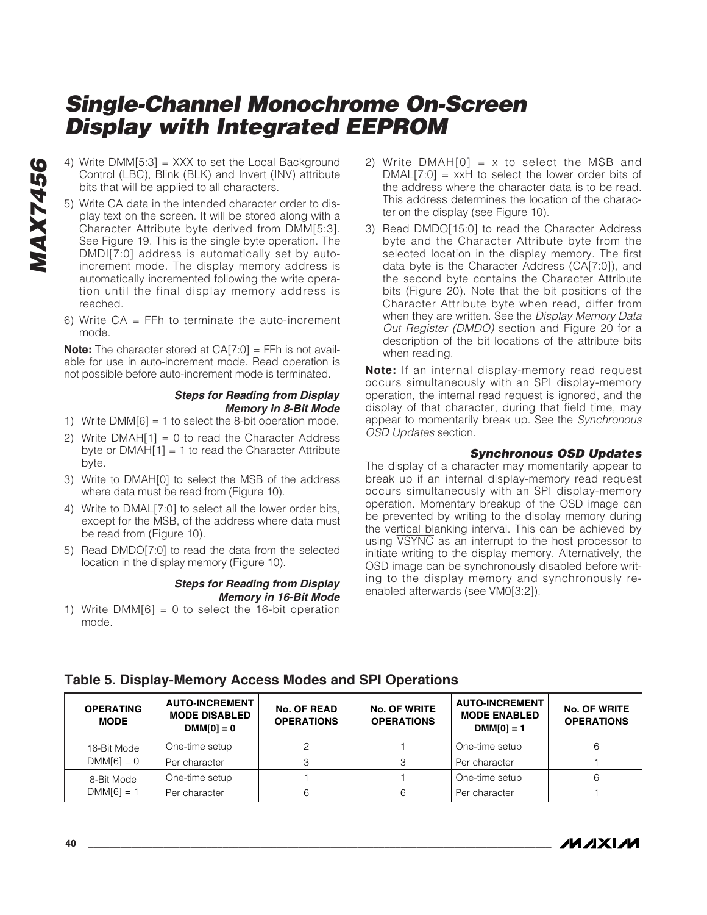- Control (LBC), Blink (BLK) and Invert (INV) attribute bits that will be applied to all characters.
- 4) Write DMM[5:3] = XXX to set the Local Background<br>Control (LBC), Blink (BLK) and Invert (INV) attribute<br>bits that will be applied to all characters.<br>5) Write CA data in the intended character order to dis-<br>play text on t 5) Write CA data in the intended character order to display text on the screen. It will be stored along with a Character Attribute byte derived from DMM[5:3]. See Figure 19. This is the single byte operation. The DMDI[7:0] address is automatically set by autoincrement mode. The display memory address is automatically incremented following the write operation until the final display memory address is reached.
	- 6) Write  $CA = FFh$  to terminate the auto-increment mode.

**Note:** The character stored at CA[7:0] = FFh is not available for use in auto-increment mode. Read operation is not possible before auto-increment mode is terminated.

#### **Steps for Reading from Display Memory in 8-Bit Mode**

- 1) Write DMM[6] = 1 to select the 8-bit operation mode.
- 2) Write  $DMAH[1] = 0$  to read the Character Address byte or  $DMAH[1] = 1$  to read the Character Attribute byte.
- 3) Write to DMAH[0] to select the MSB of the address where data must be read from (Figure 10).
- 4) Write to DMAL[7:0] to select all the lower order bits, except for the MSB, of the address where data must be read from (Figure 10).
- 5) Read DMDO[7:0] to read the data from the selected location in the display memory (Figure 10).

#### **Steps for Reading from Display Memory in 16-Bit Mode**

1) Write  $DMM[6] = 0$  to select the 16-bit operation mode.

- 2) Write  $DMAH[0] = x$  to select the MSB and  $DMAL[7:0] = xxH$  to select the lower order bits of the address where the character data is to be read. This address determines the location of the character on the display (see Figure 10).
- 3) Read DMDO[15:0] to read the Character Address byte and the Character Attribute byte from the selected location in the display memory. The first data byte is the Character Address (CA[7:0]), and the second byte contains the Character Attribute bits (Figure 20). Note that the bit positions of the Character Attribute byte when read, differ from when they are written. See the Display Memory Data Out Register (DMDO) section and Figure 20 for a description of the bit locations of the attribute bits when reading.

**Note:** If an internal display-memory read request occurs simultaneously with an SPI display-memory operation, the internal read request is ignored, and the display of that character, during that field time, may appear to momentarily break up. See the Synchronous OSD Updates section.

#### **Synchronous OSD Updates**

The display of a character may momentarily appear to break up if an internal display-memory read request occurs simultaneously with an SPI display-memory operation. Momentary breakup of the OSD image can be prevented by writing to the display memory during the vertical blanking interval. This can be achieved by using VSYNC as an interrupt to the host processor to initiate writing to the display memory. Alternatively, the OSD image can be synchronously disabled before writing to the display memory and synchronously reenabled afterwards (see VM0[3:2]).

| <b>OPERATING</b><br><b>MODE</b> | <b>AUTO-INCREMENT</b><br><b>MODE DISABLED</b><br>$DMM[0] = 0$ | <b>No. OF READ</b><br><b>OPERATIONS</b> | <b>No. OF WRITE</b><br><b>OPERATIONS</b> | <b>AUTO-INCREMENT</b><br><b>MODE ENABLED</b><br>$DMM[0] = 1$ | <b>No. OF WRITE</b><br><b>OPERATIONS</b> |
|---------------------------------|---------------------------------------------------------------|-----------------------------------------|------------------------------------------|--------------------------------------------------------------|------------------------------------------|
| 16-Bit Mode                     | One-time setup                                                |                                         |                                          | One-time setup                                               |                                          |
| $DMM[6] = 0$                    | Per character                                                 |                                         | 3                                        | Per character                                                |                                          |
| 8-Bit Mode                      | One-time setup                                                |                                         |                                          | One-time setup                                               |                                          |
| $DMM[6] = 1$                    | Per character                                                 |                                         | 6                                        | Per character                                                |                                          |

### **Table 5. Display-Memory Access Modes and SPI Operations**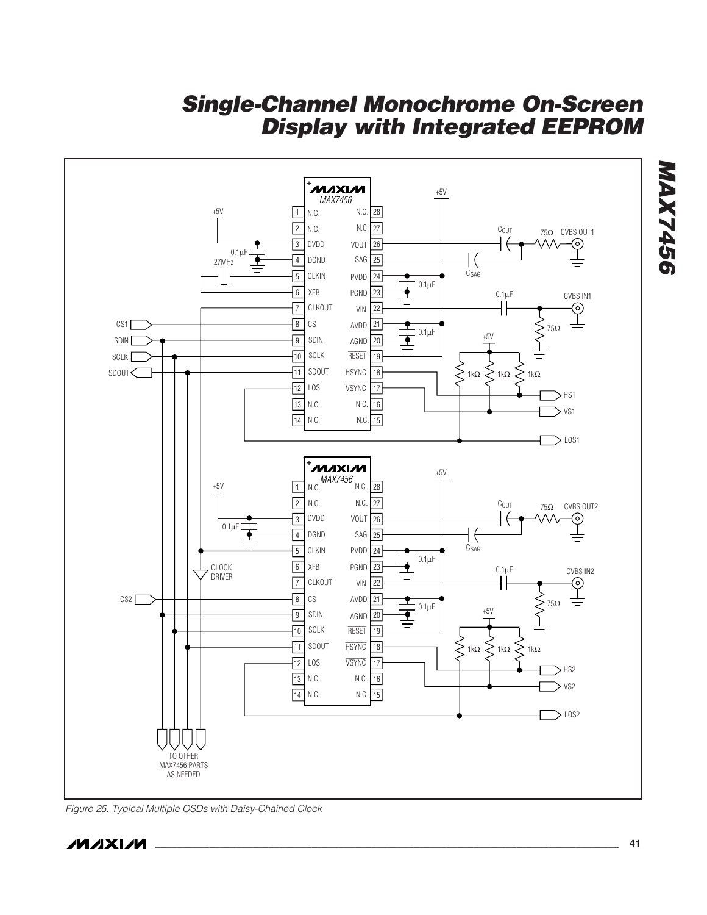

Figure 25. Typical Multiple OSDs with Daisy-Chained Clock

**MAX7456**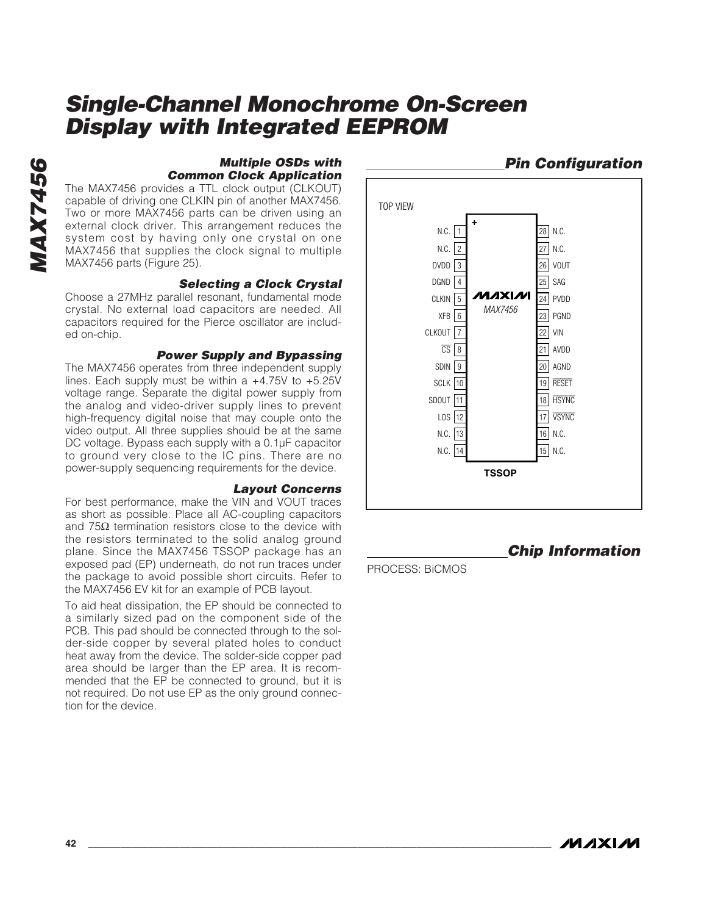**Pin Configuration**

**Chip Information**

### **Multiple OSDs with Common Clock Application**

The MAX7456 provides a TTL clock output (CLKOUT) capable of driving one CLKIN pin of another MAX7456. Two or more MAX7456 parts can be driven using an external clock driver. This arrangement reduces the system cost by having only one crystal on one MAX7456 that supplies the clock signal to multiple MAX7456 parts (Figure 25).

#### **Selecting a Clock Crystal**

Choose a 27MHz parallel resonant, fundamental mode crystal. No external load capacitors are needed. All capacitors required for the Pierce oscillator are included on-chip.

#### **Power Supply and Bypassing**

The MAX7456 operates from three independent supply lines. Each supply must be within a  $+4.75V$  to  $+5.25V$ voltage range. Separate the digital power supply from the analog and video-driver supply lines to prevent high-frequency digital noise that may couple onto the video output. All three supplies should be at the same DC voltage. Bypass each supply with a 0.1µF capacitor to ground very close to the IC pins. There are no power-supply sequencing requirements for the device.

#### **Layout Concerns**

For best performance, make the VIN and VOUT traces as short as possible. Place all AC-coupling capacitors and 75 $\Omega$  termination resistors close to the device with the resistors terminated to the solid analog ground plane. Since the MAX7456 TSSOP package has an exposed pad (EP) underneath, do not run traces under the package to avoid possible short circuits. Refer to the MAX7456 EV kit for an example of PCB layout.

To aid heat dissipation, the EP should be connected to a similarly sized pad on the component side of the PCB. This pad should be connected through to the solder-side copper by several plated holes to conduct heat away from the device. The solder-side copper pad area should be larger than the EP area. It is recommended that the EP be connected to ground, but it is not required. Do not use EP as the only ground connection for the device.



PROCESS: BiCMOS

**MAX7456**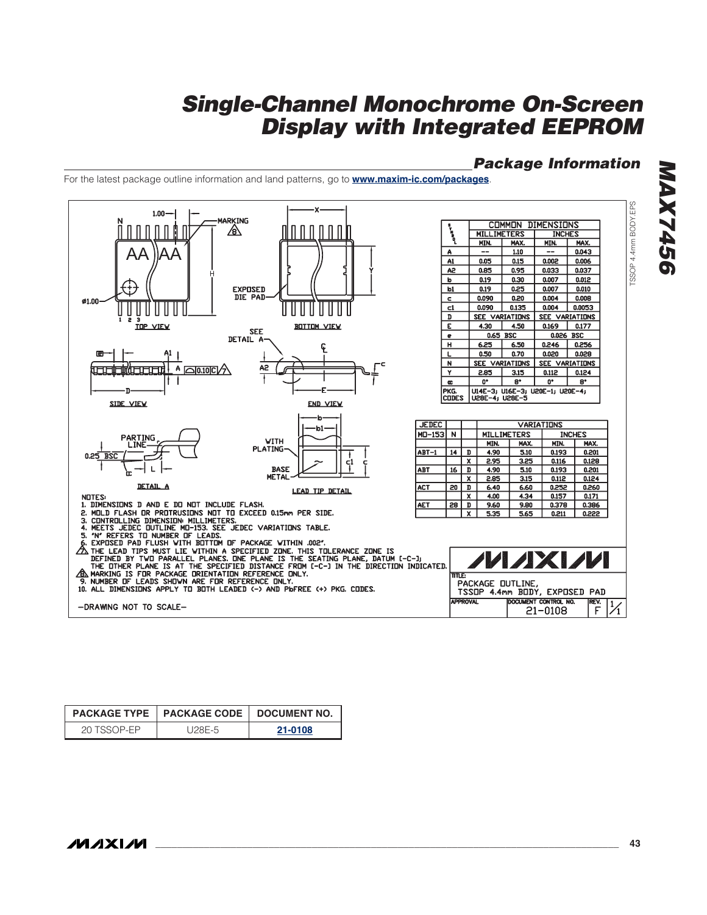# **\_\_\_\_\_\_\_\_\_\_\_\_\_\_\_\_\_\_\_\_\_\_\_\_\_\_\_\_\_\_\_\_\_\_\_\_\_\_\_\_\_\_\_\_\_\_\_\_\_\_\_\_\_\_\_\_\_\_\_\_\_\_\_\_\_\_\_\_\_\_\_\_\_\_\_\_\_\_\_\_\_\_\_\_\_\_ 43**TSSOP 4.4mm BODY.EPS ח ח ח  $\mathsf{A}\mathsf{A}$ Ø1.00 Ш H H SIDE VIEW ĽÌŃĒ  $0.25$  BS L **NOTES:**

For the latest package outline information and land patterns, go to **www.maxim-ic.com/packages**.

|             | PACKAGE TYPE   PACKAGE CODE   DOCUMENT NO. |         |  |
|-------------|--------------------------------------------|---------|--|
| 20 TSSOP-FP | U28E-5                                     | 21-0108 |  |

**MAXIM** 

**MAX7456 MAX745** 

**Package Information**